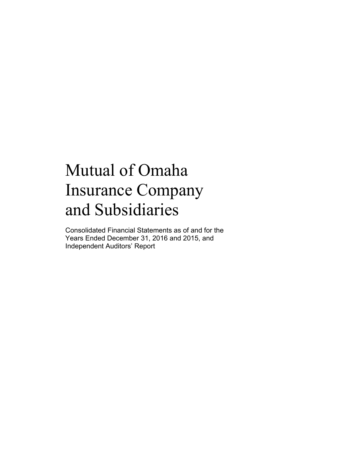## Mutual of Omaha Insurance Company and Subsidiaries

Consolidated Financial Statements as of and for the Years Ended December 31, 2016 and 2015, and Independent Auditors' Report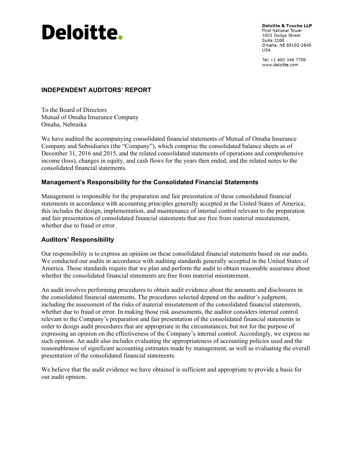# Deloitte.

**Deloitte & Touche LLP First National Tower** 1601 Dodge Street **Suite 3100** Omaha, NE 68102-1640  $115\Delta$ 

Tel: +1 402 346 7788 www.deloitte.com

#### **INDEPENDENT AUDITORS' REPORT**

To the Board of Directors Mutual of Omaha Insurance Company Omaha, Nebraska

We have audited the accompanying consolidated financial statements of Mutual of Omaha Insurance Company and Subsidiaries (the "Company"), which comprise the consolidated balance sheets as of December 31, 2016 and 2015, and the related consolidated statements of operations and comprehensive income (loss), changes in equity, and cash flows for the years then ended, and the related notes to the consolidated financial statements.

#### **Management's Responsibility for the Consolidated Financial Statements**

Management is responsible for the preparation and fair presentation of these consolidated financial statements in accordance with accounting principles generally accepted in the United States of America; this includes the design, implementation, and maintenance of internal control relevant to the preparation and fair presentation of consolidated financial statements that are free from material misstatement, whether due to fraud or error.

#### **Auditors' Responsibility**

Our responsibility is to express an opinion on these consolidated financial statements based on our audits. We conducted our audits in accordance with auditing standards generally accepted in the United States of America. Those standards require that we plan and perform the audit to obtain reasonable assurance about whether the consolidated financial statements are free from material misstatement.

An audit involves performing procedures to obtain audit evidence about the amounts and disclosures in the consolidated financial statements. The procedures selected depend on the auditor's judgment, including the assessment of the risks of material misstatement of the consolidated financial statements, whether due to fraud or error. In making those risk assessments, the auditor considers internal control relevant to the Company's preparation and fair presentation of the consolidated financial statements in order to design audit procedures that are appropriate in the circumstances, but not for the purpose of expressing an opinion on the effectiveness of the Company's internal control. Accordingly, we express no such opinion. An audit also includes evaluating the appropriateness of accounting policies used and the reasonableness of significant accounting estimates made by management, as well as evaluating the overall presentation of the consolidated financial statements.

We believe that the audit evidence we have obtained is sufficient and appropriate to provide a basis for our audit opinion.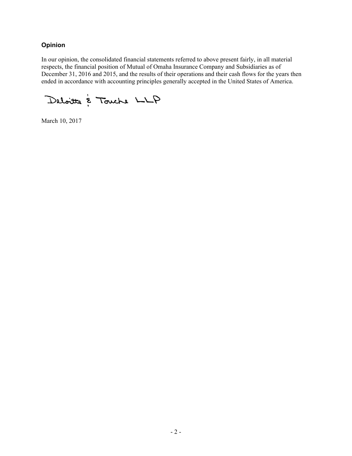#### **Opinion**

In our opinion, the consolidated financial statements referred to above present fairly, in all material respects, the financial position of Mutual of Omaha Insurance Company and Subsidiaries as of December 31, 2016 and 2015, and the results of their operations and their cash flows for the years then ended in accordance with accounting principles generally accepted in the United States of America.

Deloitte & Touche LLP

March 10, 2017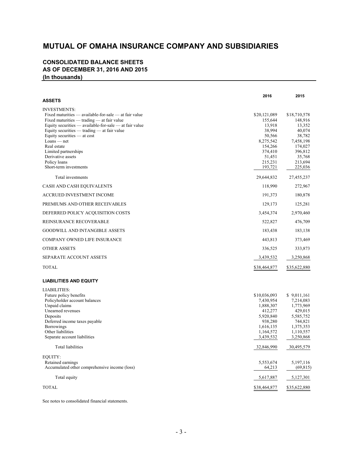#### **CONSOLIDATED BALANCE SHEETS AS OF DECEMBER 31, 2016 AND 2015 (In thousands)**

|                                                                                                                                                                                                                                                                                                                                                                                           | 2016                                                                                                                           | 2015                                                                                                                          |
|-------------------------------------------------------------------------------------------------------------------------------------------------------------------------------------------------------------------------------------------------------------------------------------------------------------------------------------------------------------------------------------------|--------------------------------------------------------------------------------------------------------------------------------|-------------------------------------------------------------------------------------------------------------------------------|
| <b>ASSETS</b>                                                                                                                                                                                                                                                                                                                                                                             |                                                                                                                                |                                                                                                                               |
| <b>INVESTMENTS:</b><br>Fixed maturities — available-for-sale — at fair value<br>Fixed maturities — trading — at fair value<br>Equity securities — available-for-sale — at fair value<br>Equity securities — trading — at fair value<br>Equity securities — at cost<br>$Loans$ — net<br>Real estate<br>Limited partnerships<br>Derivative assets<br>Policy loans<br>Short-term investments | \$20,121,089<br>155,644<br>13,918<br>38,994<br>50,566<br>8,275,542<br>154,266<br>374,410<br>51,451<br>215,231<br>193,721       | \$18,710,578<br>148,916<br>13,352<br>40,074<br>38,782<br>7,458,198<br>174,027<br>396,812<br>35,768<br>213,694<br>225,036      |
| Total investments                                                                                                                                                                                                                                                                                                                                                                         | 29,644,832                                                                                                                     | 27,455,237                                                                                                                    |
| CASH AND CASH EQUIVALENTS                                                                                                                                                                                                                                                                                                                                                                 | 118,990                                                                                                                        | 272,967                                                                                                                       |
| ACCRUED INVESTMENT INCOME                                                                                                                                                                                                                                                                                                                                                                 | 191,373                                                                                                                        | 180,878                                                                                                                       |
| PREMIUMS AND OTHER RECEIVABLES                                                                                                                                                                                                                                                                                                                                                            | 129,173                                                                                                                        | 125,281                                                                                                                       |
| DEFERRED POLICY ACQUISITION COSTS                                                                                                                                                                                                                                                                                                                                                         | 3,454,374                                                                                                                      | 2,970,460                                                                                                                     |
| REINSURANCE RECOVERABLE                                                                                                                                                                                                                                                                                                                                                                   | 522,827                                                                                                                        | 476,709                                                                                                                       |
| <b>GOODWILL AND INTANGIBLE ASSETS</b>                                                                                                                                                                                                                                                                                                                                                     | 183,438                                                                                                                        | 183,138                                                                                                                       |
| <b>COMPANY OWNED LIFE INSURANCE</b>                                                                                                                                                                                                                                                                                                                                                       | 443,813                                                                                                                        | 373,469                                                                                                                       |
| <b>OTHER ASSETS</b>                                                                                                                                                                                                                                                                                                                                                                       | 336,525                                                                                                                        | 333,873                                                                                                                       |
| <b>SEPARATE ACCOUNT ASSETS</b>                                                                                                                                                                                                                                                                                                                                                            | 3,439,532                                                                                                                      | 3,250,868                                                                                                                     |
| TOTAL                                                                                                                                                                                                                                                                                                                                                                                     | \$38,464,877                                                                                                                   | \$35,622,880                                                                                                                  |
| <b>LIABILITIES AND EQUITY</b>                                                                                                                                                                                                                                                                                                                                                             |                                                                                                                                |                                                                                                                               |
| <b>LIABILITIES:</b><br>Future policy benefits<br>Policyholder account balances<br>Unpaid claims<br>Unearned revenues<br>Deposits<br>Deferred income taxes payable<br><b>Borrowings</b><br>Other liabilities<br>Separate account liabilities<br><b>Total liabilities</b>                                                                                                                   | \$10,036,093<br>7,430,954<br>1,888,307<br>412,277<br>5,920,840<br>938,280<br>1,616,135<br>1,164,572<br>3,439,532<br>32,846,990 | \$9,011,161<br>7,214,083<br>1,773,969<br>429,015<br>5,585,752<br>744,821<br>1,375,353<br>1,110,557<br>3,250,868<br>30,495,579 |
| EQUITY:                                                                                                                                                                                                                                                                                                                                                                                   |                                                                                                                                |                                                                                                                               |
| Retained earnings<br>Accumulated other comprehensive income (loss)                                                                                                                                                                                                                                                                                                                        | 5,553,674<br>64,213                                                                                                            | 5,197,116<br>(69, 815)                                                                                                        |
| Total equity                                                                                                                                                                                                                                                                                                                                                                              | 5,617,887                                                                                                                      | 5,127,301                                                                                                                     |
| <b>TOTAL</b>                                                                                                                                                                                                                                                                                                                                                                              | \$38,464,877                                                                                                                   | \$35,622,880                                                                                                                  |

See notes to consolidated financial statements.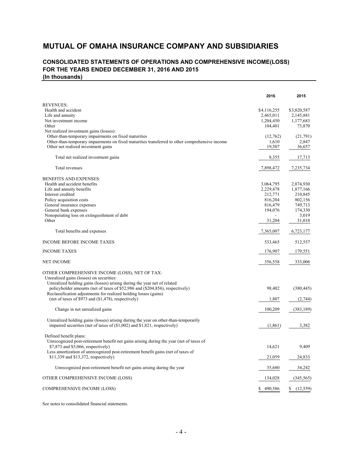#### **CONSOLIDATED STATEMENTS OF OPERATIONS AND COMPREHENSIVE INCOME(LOSS) FOR THE YEARS ENDED DECEMBER 31, 2016 AND 2015 (In thousands)**

|                                                                                                                               | 2016        | 2015        |
|-------------------------------------------------------------------------------------------------------------------------------|-------------|-------------|
| <b>REVENUES:</b>                                                                                                              |             |             |
| Health and accident                                                                                                           | \$4,116,255 | \$3,820,587 |
| Life and annuity                                                                                                              | 2,465,011   | 2,145,881   |
| Net investment income                                                                                                         | 1,204,450   | 1,177,683   |
| Other                                                                                                                         | 104,401     | 73,870      |
| Net realized investment gains (losses):                                                                                       |             |             |
| Other-than-temporary impairments on fixed maturities                                                                          | (12,762)    | (21, 791)   |
| Other-than-temporary impairments on fixed maturities transferred to other comprehensive income                                | 1,610       | 2,847       |
| Other net realized investment gains                                                                                           | 19,507      | 36,657      |
| Total net realized investment gains                                                                                           | 8,355       | 17,713      |
| Total revenues                                                                                                                | 7,898,472   | 7,235,734   |
| <b>BENEFITS AND EXPENSES:</b>                                                                                                 |             |             |
| Health and accident benefits                                                                                                  | 3,064,795   | 2,874,930   |
| Life and annuity benefits                                                                                                     | 2,229,478   | 1,877,166   |
| Interest credited                                                                                                             | 212,771     | 210,845     |
| Policy acquisition costs                                                                                                      | 816,204     | 802,156     |
| General insurance expenses                                                                                                    | 816,479     | 749,713     |
| General bank expenses                                                                                                         | 194,076     | 174,330     |
| Nonoperating loss on extinguishment of debt                                                                                   |             | 3,019       |
| Other                                                                                                                         | 31,204      | 31,018      |
| Total benefits and expenses                                                                                                   | 7,365,007   | 6,723,177   |
| <b>INCOME BEFORE INCOME TAXES</b>                                                                                             | 533,465     | 512,557     |
| <b>INCOME TAXES</b>                                                                                                           | 176,907     | 179,551     |
| NET INCOME                                                                                                                    | 356,558     | 333,006     |
| OTHER COMPREHENSIVE INCOME (LOSS), NET OF TAX:                                                                                |             |             |
| Unrealized gains (losses) on securities:                                                                                      |             |             |
| Unrealized holding gains (losses) arising during the year net of related                                                      |             |             |
| policyholder amounts (net of taxes of \$52,986 and (\$204,856), respectively)                                                 | 98,402      | (380, 445)  |
| Reclassification adjustments for realized holding losses (gains)                                                              |             |             |
| (net of taxes of \$973 and $(\$1,478)$ , respectively)                                                                        | 1,807       | (2,744)     |
|                                                                                                                               | 100,209     |             |
| Change in net unrealized gains                                                                                                |             | (383, 189)  |
| Unrealized holding gains (losses) arising during the year on other-than-temporarily                                           |             |             |
| impaired securities (net of taxes of (\$1,002) and \$1,821, respectively)                                                     | (1,861)     | 3,382       |
|                                                                                                                               |             |             |
| Defined benefit plans:                                                                                                        |             |             |
| Unrecognized post-retirement benefit net gains arising during the year (net of taxes of<br>\$7,873 and \$5,066, respectively) | 14,621      | 9,409       |
| Less amortization of unrecognized post-retirement benefit gains (net of taxes of                                              |             |             |
| \$11,339 and \$13,372, respectively)                                                                                          | 21,059      | 24,833      |
|                                                                                                                               |             |             |
| Unrecognized post-retirement benefit net gains arising during the year                                                        | 35,680      | 34,242      |
| OTHER COMPREHENSIVE INCOME (LOSS)                                                                                             | 134,028     | (345, 565)  |
| COMPREHENSIVE INCOME (LOSS)                                                                                                   | \$490,586   | (12, 559)   |
|                                                                                                                               |             |             |

See notes to consolidated financial statements.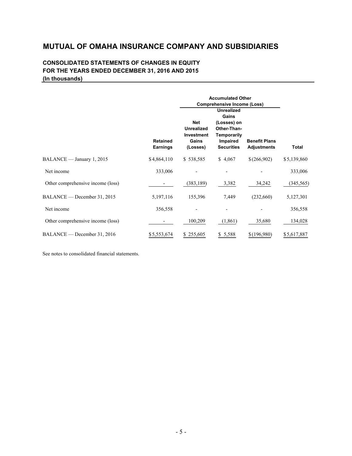#### **CONSOLIDATED STATEMENTS OF CHANGES IN EQUITY FOR THE YEARS ENDED DECEMBER 31, 2016 AND 2015 (In thousands)**

|                                   |                                    | <b>Accumulated Other</b><br><b>Comprehensive Income (Loss)</b>            |                                                                                                          |                                            |             |
|-----------------------------------|------------------------------------|---------------------------------------------------------------------------|----------------------------------------------------------------------------------------------------------|--------------------------------------------|-------------|
|                                   | <b>Retained</b><br><b>Earnings</b> | <b>Net</b><br><b>Unrealized</b><br><b>Investment</b><br>Gains<br>(Losses) | <b>Unrealized</b><br>Gains<br>(Losses) on<br>Other-Than-<br>Temporarily<br>Impaired<br><b>Securities</b> | <b>Benefit Plans</b><br><b>Adjustments</b> | Total       |
| BALANCE - January 1, 2015         | \$4,864,110                        | \$538,585                                                                 | \$4,067                                                                                                  | \$(266,902)                                | \$5,139,860 |
| Net income                        | 333,006                            |                                                                           |                                                                                                          |                                            | 333,006     |
| Other comprehensive income (loss) |                                    | (383, 189)                                                                | 3,382                                                                                                    | 34,242                                     | (345, 565)  |
| BALANCE — December 31, 2015       | 5,197,116                          | 155,396                                                                   | 7,449                                                                                                    | (232,660)                                  | 5,127,301   |
| Net income                        | 356,558                            |                                                                           |                                                                                                          |                                            | 356,558     |
| Other comprehensive income (loss) |                                    | 100,209                                                                   | (1, 861)                                                                                                 | 35,680                                     | 134,028     |
| BALANCE — December 31, 2016       | \$5,553,674                        | \$255,605                                                                 | \$5,588                                                                                                  | \$(196,980)                                | \$5,617,887 |

See notes to consolidated financial statements.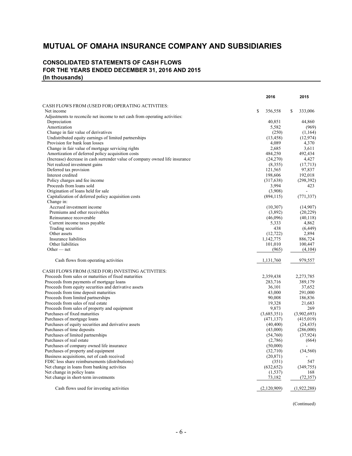#### **CONSOLIDATED STATEMENTS OF CASH FLOWS FOR THE YEARS ENDED DECEMBER 31, 2016 AND 2015 (In thousands)**

|                                                                             | 2016          | 2015          |
|-----------------------------------------------------------------------------|---------------|---------------|
| CASH FLOWS FROM (USED FOR) OPERATING ACTIVITIES:                            |               |               |
| Net income                                                                  | \$<br>356,558 | \$<br>333,006 |
| Adjustments to reconcile net income to net cash from operating activities:  |               |               |
| Depreciation                                                                | 40,851        | 44,860        |
| Amortization                                                                | 5,582         | (969)         |
| Change in fair value of derivatives                                         | (250)         | (1,164)       |
| Undistributed equity earnings of limited partnerships                       | (13, 458)     | (12, 974)     |
| Provision for bank loan losses                                              | 4,089         | 4,370         |
| Change in fair value of mortgage servicing rights                           | 2,685         | 3,611         |
| Amortization of deferred policy acquisition costs                           | 484,250       | 492,434       |
| (Increase) decrease in cash surrender value of company owned life insurance | (24,270)      | 4,427         |
| Net realized investment gains                                               | (8,355)       | (17,713)      |
| Deferred tax provision                                                      | 121,565       | 97,837        |
| Interest credited                                                           | 198,606       | 192,018       |
| Policy charges and fee income                                               | (317, 638)    | (298, 392)    |
| Proceeds from loans sold                                                    | 3,994         | 423           |
| Origination of loans held for sale                                          | (3,908)       |               |
| Capitalization of deferred policy acquisition costs                         | (894, 115)    | (771, 337)    |
| Change in:                                                                  |               |               |
| Accrued investment income                                                   | (10,307)      | (14,907)      |
| Premiums and other receivables                                              | (3,892)       | (20, 229)     |
| Reinsurance recoverable                                                     | (46,096)      | (40, 118)     |
| Current income taxes payable                                                | 5,333         | 4,862         |
| Trading securities                                                          | 438           | (6, 449)      |
| Other assets                                                                | (12, 722)     | 2,894         |
| Insurance liabilities                                                       | 1,142,775     | 886,724       |
| Other liabilities                                                           | 101,010       | 100,447       |
| Other $-$ net                                                               | (965)         | (4,104)       |
| Cash flows from operating activities                                        | 1,131,760     | 979,557       |
| CASH FLOWS FROM (USED FOR) INVESTING ACTIVITIES:                            |               |               |
| Proceeds from sales or maturities of fixed maturities                       | 2,359,438     | 2,273,785     |
| Proceeds from payments of mortgage loans                                    | 283,716       | 389,179       |
| Proceeds from equity securities and derivative assets                       | 36,101        | 37,652        |
| Proceeds from time deposit maturities                                       | 43,000        | 291,000       |
| Proceeds from limited partnerships                                          | 90,008        | 186,836       |
| Proceeds from sales of real estate                                          | 19,328        | 21,683        |
| Proceeds from sales of property and equipment                               | 9,873         | 269           |
| Purchases of fixed maturities                                               | (3,685,351)   | (3,902,693)   |
| Purchases of mortgage loans                                                 | (471, 137)    | (415,019)     |
| Purchases of equity securities and derivative assets                        | (40, 400)     | (24, 435)     |
| Purchases of time deposits                                                  | (43,000)      | (286,000)     |
| Purchases of limited partnerships                                           | (54,760)      | (37, 924)     |
| Purchases of real estate                                                    | (2,786)       | (664)         |
| Purchases of company owned life insurance                                   | (50,000)      |               |
| Purchases of property and equipment                                         | (32,710)      | (34, 560)     |
| Business acquisitions, net of cash received                                 | (20, 871)     |               |
| FDIC loss share reimbursements (distributions)                              | (351)         | 547           |
| Net change in loans from banking activities                                 | (632, 652)    | (349,755)     |
| Net change in policy loans                                                  | (1, 537)      | 168           |
| Net change in short-term investments                                        | 73,182        | (72, 357)     |
| Cash flows used for investing activities                                    | (2,120,909)   | (1,922,288)   |

(Continued)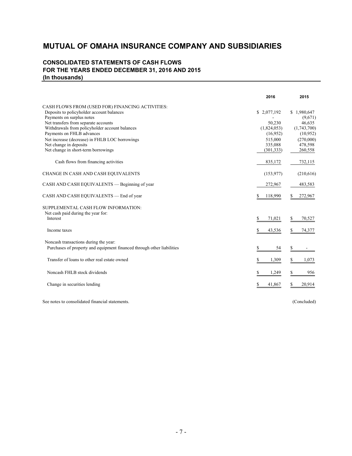#### **CONSOLIDATED STATEMENTS OF CASH FLOWS FOR THE YEARS ENDED DECEMBER 31, 2016 AND 2015 (In thousands)**

|                                                                        | 2016         | 2015         |
|------------------------------------------------------------------------|--------------|--------------|
| CASH FLOWS FROM (USED FOR) FINANCING ACTIVITIES:                       |              |              |
| Deposits to policyholder account balances                              | \$2,077,192  | \$1,980,647  |
| Payments on surplus notes                                              |              | (9,671)      |
| Net transfers from separate accounts                                   | 50,230       | 46,635       |
| Withdrawals from policyholder account balances                         | (1,824,053)  | (1,743,700)  |
| Payments on FHLB advances                                              | (16,952)     | (10,952)     |
| Net increase (decrease) in FHLB LOC borrowings                         | 515,000      | (270,000)    |
| Net change in deposits                                                 | 335,088      | 478,598      |
| Net change in short-term borrowings                                    | (301, 333)   | 260,558      |
| Cash flows from financing activities                                   | 835,172      | 732,115      |
| CHANGE IN CASH AND CASH EQUIVALENTS                                    | (153, 977)   | (210,616)    |
| CASH AND CASH EQUIVALENTS — Beginning of year                          | 272,967      | 483,583      |
| CASH AND CASH EQUIVALENTS - End of year                                | 118,990<br>S | 272,967<br>S |
| SUPPLEMENTAL CASH FLOW INFORMATION:                                    |              |              |
| Net cash paid during the year for:                                     |              |              |
| Interest                                                               | \$<br>71,021 | \$<br>70,527 |
| Income taxes                                                           | \$<br>43,536 | \$<br>74,377 |
| Noncash transactions during the year:                                  |              |              |
| Purchases of property and equipment financed through other liabilities | S<br>54      | \$           |
| Transfer of loans to other real estate owned                           | 1,309        | \$<br>1,073  |
| Noncash FHLB stock dividends                                           | \$<br>1,249  | \$<br>956    |
| Change in securities lending                                           | \$<br>41,867 | \$<br>20,914 |
|                                                                        |              |              |

See notes to consolidated financial statements. (Concluded)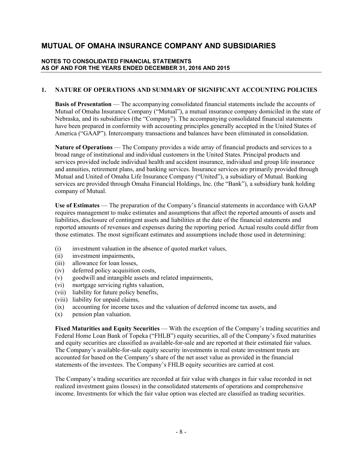#### **NOTES TO CONSOLIDATED FINANCIAL STATEMENTS AS OF AND FOR THE YEARS ENDED DECEMBER 31, 2016 AND 2015**

#### **1. NATURE OF OPERATIONS AND SUMMARY OF SIGNIFICANT ACCOUNTING POLICIES**

**Basis of Presentation** — The accompanying consolidated financial statements include the accounts of Mutual of Omaha Insurance Company ("Mutual"), a mutual insurance company domiciled in the state of Nebraska, and its subsidiaries (the "Company"). The accompanying consolidated financial statements have been prepared in conformity with accounting principles generally accepted in the United States of America ("GAAP"). Intercompany transactions and balances have been eliminated in consolidation.

**Nature of Operations** — The Company provides a wide array of financial products and services to a broad range of institutional and individual customers in the United States. Principal products and services provided include individual health and accident insurance, individual and group life insurance and annuities, retirement plans, and banking services. Insurance services are primarily provided through Mutual and United of Omaha Life Insurance Company ("United"), a subsidiary of Mutual. Banking services are provided through Omaha Financial Holdings, Inc. (the "Bank"), a subsidiary bank holding company of Mutual.

**Use of Estimates** — The preparation of the Company's financial statements in accordance with GAAP requires management to make estimates and assumptions that affect the reported amounts of assets and liabilities, disclosure of contingent assets and liabilities at the date of the financial statements and reported amounts of revenues and expenses during the reporting period. Actual results could differ from those estimates. The most significant estimates and assumptions include those used in determining:

- (i) investment valuation in the absence of quoted market values,
- (ii) investment impairments,
- (iii) allowance for loan losses,
- (iv) deferred policy acquisition costs,
- (v) goodwill and intangible assets and related impairments,
- (vi) mortgage servicing rights valuation,
- (vii) liability for future policy benefits,
- (viii) liability for unpaid claims,
- (ix) accounting for income taxes and the valuation of deferred income tax assets, and
- (x) pension plan valuation.

**Fixed Maturities and Equity Securities** — With the exception of the Company's trading securities and Federal Home Loan Bank of Topeka ("FHLB") equity securities, all of the Company's fixed maturities and equity securities are classified as available-for-sale and are reported at their estimated fair values. The Company's available-for-sale equity security investments in real estate investment trusts are accounted for based on the Company's share of the net asset value as provided in the financial statements of the investees. The Company's FHLB equity securities are carried at cost.

The Company's trading securities are recorded at fair value with changes in fair value recorded in net realized investment gains (losses) in the consolidated statements of operations and comprehensive income. Investments for which the fair value option was elected are classified as trading securities.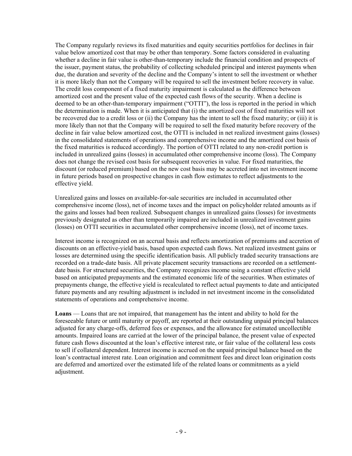The Company regularly reviews its fixed maturities and equity securities portfolios for declines in fair value below amortized cost that may be other than temporary. Some factors considered in evaluating whether a decline in fair value is other-than-temporary include the financial condition and prospects of the issuer, payment status, the probability of collecting scheduled principal and interest payments when due, the duration and severity of the decline and the Company's intent to sell the investment or whether it is more likely than not the Company will be required to sell the investment before recovery in value. The credit loss component of a fixed maturity impairment is calculated as the difference between amortized cost and the present value of the expected cash flows of the security. When a decline is deemed to be an other-than-temporary impairment ("OTTI"), the loss is reported in the period in which the determination is made. When it is anticipated that (i) the amortized cost of fixed maturities will not be recovered due to a credit loss or (ii) the Company has the intent to sell the fixed maturity; or (iii) it is more likely than not that the Company will be required to sell the fixed maturity before recovery of the decline in fair value below amortized cost, the OTTI is included in net realized investment gains (losses) in the consolidated statements of operations and comprehensive income and the amortized cost basis of the fixed maturities is reduced accordingly. The portion of OTTI related to any non-credit portion is included in unrealized gains (losses) in accumulated other comprehensive income (loss). The Company does not change the revised cost basis for subsequent recoveries in value. For fixed maturities, the discount (or reduced premium) based on the new cost basis may be accreted into net investment income in future periods based on prospective changes in cash flow estimates to reflect adjustments to the effective yield.

Unrealized gains and losses on available-for-sale securities are included in accumulated other comprehensive income (loss), net of income taxes and the impact on policyholder related amounts as if the gains and losses had been realized. Subsequent changes in unrealized gains (losses) for investments previously designated as other than temporarily impaired are included in unrealized investment gains (losses) on OTTI securities in accumulated other comprehensive income (loss), net of income taxes.

Interest income is recognized on an accrual basis and reflects amortization of premiums and accretion of discounts on an effective-yield basis, based upon expected cash flows. Net realized investment gains or losses are determined using the specific identification basis. All publicly traded security transactions are recorded on a trade-date basis. All private placement security transactions are recorded on a settlementdate basis. For structured securities, the Company recognizes income using a constant effective yield based on anticipated prepayments and the estimated economic life of the securities. When estimates of prepayments change, the effective yield is recalculated to reflect actual payments to date and anticipated future payments and any resulting adjustment is included in net investment income in the consolidated statements of operations and comprehensive income.

**Loans** — Loans that are not impaired, that management has the intent and ability to hold for the foreseeable future or until maturity or payoff, are reported at their outstanding unpaid principal balances adjusted for any charge-offs, deferred fees or expenses, and the allowance for estimated uncollectible amounts. Impaired loans are carried at the lower of the principal balance, the present value of expected future cash flows discounted at the loan's effective interest rate, or fair value of the collateral less costs to sell if collateral dependent. Interest income is accrued on the unpaid principal balance based on the loan's contractual interest rate. Loan origination and commitment fees and direct loan origination costs are deferred and amortized over the estimated life of the related loans or commitments as a yield adjustment.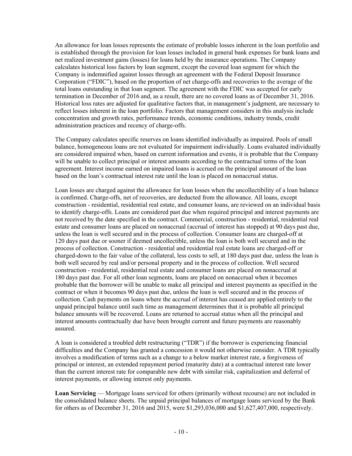An allowance for loan losses represents the estimate of probable losses inherent in the loan portfolio and is established through the provision for loan losses included in general bank expenses for bank loans and net realized investment gains (losses) for loans held by the insurance operations. The Company calculates historical loss factors by loan segment, except the covered loan segment for which the Company is indemnified against losses through an agreement with the Federal Deposit Insurance Corporation ("FDIC"), based on the proportion of net charge-offs and recoveries to the average of the total loans outstanding in that loan segment. The agreement with the FDIC was accepted for early termination in December of 2016 and, as a result, there are no covered loans as of December 31, 2016. Historical loss rates are adjusted for qualitative factors that, in management's judgment, are necessary to reflect losses inherent in the loan portfolio. Factors that management considers in this analysis include concentration and growth rates, performance trends, economic conditions, industry trends, credit administration practices and recency of charge-offs.

The Company calculates specific reserves on loans identified individually as impaired. Pools of small balance, homogeneous loans are not evaluated for impairment individually. Loans evaluated individually are considered impaired when, based on current information and events, it is probable that the Company will be unable to collect principal or interest amounts according to the contractual terms of the loan agreement. Interest income earned on impaired loans is accrued on the principal amount of the loan based on the loan's contractual interest rate until the loan is placed on nonaccrual status.

Loan losses are charged against the allowance for loan losses when the uncollectibility of a loan balance is confirmed. Charge-offs, net of recoveries, are deducted from the allowance. All loans, except construction - residential, residential real estate, and consumer loans, are reviewed on an individual basis to identify charge-offs. Loans are considered past due when required principal and interest payments are not received by the date specified in the contract. Commercial, construction - residential, residential real estate and consumer loans are placed on nonaccrual (accrual of interest has stopped) at 90 days past due, unless the loan is well secured and in the process of collection. Consumer loans are charged-off at 120 days past due or sooner if deemed uncollectible, unless the loan is both well secured and in the process of collection. Construction - residential and residential real estate loans are charged-off or charged-down to the fair value of the collateral, less costs to sell, at 180 days past due, unless the loan is both well secured by real and/or personal property and in the process of collection. Well secured construction - residential, residential real estate and consumer loans are placed on nonaccrual at 180 days past due. For all other loan segments, loans are placed on nonaccrual when it becomes probable that the borrower will be unable to make all principal and interest payments as specified in the contract or when it becomes 90 days past due, unless the loan is well secured and in the process of collection. Cash payments on loans where the accrual of interest has ceased are applied entirely to the unpaid principal balance until such time as management determines that it is probable all principal balance amounts will be recovered. Loans are returned to accrual status when all the principal and interest amounts contractually due have been brought current and future payments are reasonably assured.

A loan is considered a troubled debt restructuring ("TDR") if the borrower is experiencing financial difficulties and the Company has granted a concession it would not otherwise consider. A TDR typically involves a modification of terms such as a change to a below market interest rate, a forgiveness of principal or interest, an extended repayment period (maturity date) at a contractual interest rate lower than the current interest rate for comparable new debt with similar risk, capitalization and deferral of interest payments, or allowing interest only payments.

**Loan Servicing** — Mortgage loans serviced for others (primarily without recourse) are not included in the consolidated balance sheets. The unpaid principal balances of mortgage loans serviced by the Bank for others as of December 31, 2016 and 2015, were \$1,293,036,000 and \$1,627,407,000, respectively.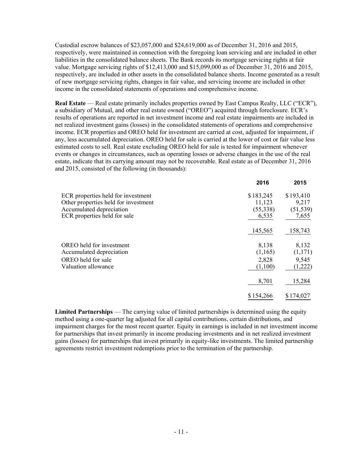Custodial escrow balances of \$23,057,000 and \$24,619,000 as of December 31, 2016 and 2015, respectively, were maintained in connection with the foregoing loan servicing and are included in other liabilities in the consolidated balance sheets. The Bank records its mortgage servicing rights at fair value. Mortgage servicing rights of \$12,413,000 and \$15,099,000 as of December 31, 2016 and 2015, respectively, are included in other assets in the consolidated balance sheets. Income generated as a result of new mortgage servicing rights, changes in fair value, and servicing income are included in other income in the consolidated statements of operations and comprehensive income.

**Real Estate** — Real estate primarily includes properties owned by East Campus Realty, LLC ("ECR"), a subsidiary of Mutual, and other real estate owned ("OREO") acquired through foreclosure. ECR's results of operations are reported in net investment income and real estate impairments are included in net realized investment gains (losses) in the consolidated statements of operations and comprehensive income. ECR properties and OREO held for investment are carried at cost, adjusted for impairment, if any, less accumulated depreciation. OREO held for sale is carried at the lower of cost or fair value less estimated costs to sell. Real estate excluding OREO held for sale is tested for impairment whenever events or changes in circumstances, such as operating losses or adverse changes in the use of the real estate, indicate that its carrying amount may not be recoverable. Real estate as of December 31, 2016 and 2015, consisted of the following (in thousands):

|                                      | 2016      | 2015      |
|--------------------------------------|-----------|-----------|
| ECR properties held for investment   | \$183,245 | \$193,410 |
| Other properties held for investment | 11,123    | 9,217     |
| Accumulated depreciation             | (55,338)  | (51, 539) |
| ECR properties held for sale         | 6,535     | 7,655     |
|                                      | 145,565   | 158,743   |
| OREO held for investment             | 8,138     | 8,132     |
| Accumulated depreciation             | (1,165)   | (1,171)   |
| OREO held for sale                   | 2,828     | 9,545     |
| Valuation allowance                  | (1,100)   | (1,222)   |
|                                      | 8,701     | 15,284    |
|                                      | \$154,266 | \$174,027 |

**Limited Partnerships** — The carrying value of limited partnerships is determined using the equity method using a one-quarter lag adjusted for all capital contributions, certain distributions, and impairment charges for the most recent quarter. Equity in earnings is included in net investment income for partnerships that invest primarily in income producing investments and in net realized investment gains (losses) for partnerships that invest primarily in equity-like investments. The limited partnership agreements restrict investment redemptions prior to the termination of the partnership.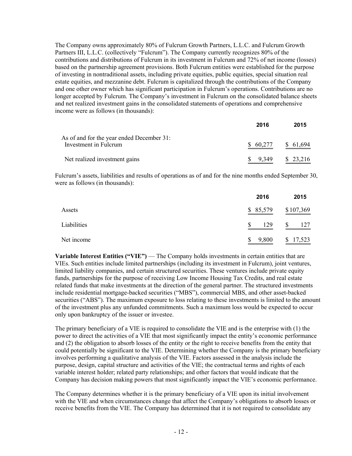The Company owns approximately 80% of Fulcrum Growth Partners, L.L.C. and Fulcrum Growth Partners III, L.L.C. (collectively "Fulcrum"). The Company currently recognizes 80% of the contributions and distributions of Fulcrum in its investment in Fulcrum and 72% of net income (losses) based on the partnership agreement provisions. Both Fulcrum entities were established for the purpose of investing in nontraditional assets, including private equities, public equities, special situation real estate equities, and mezzanine debt. Fulcrum is capitalized through the contributions of the Company and one other owner which has significant participation in Fulcrum's operations. Contributions are no longer accepted by Fulcrum. The Company's investment in Fulcrum on the consolidated balance sheets and net realized investment gains in the consolidated statements of operations and comprehensive income were as follows (in thousands):

|                                                                    | 2016                | 2015     |
|--------------------------------------------------------------------|---------------------|----------|
| As of and for the year ended December 31:<br>Investment in Fulcrum | \$60,277            | \$61,694 |
| Net realized investment gains                                      | $\frac{1}{2}$ 9,349 | \$23,216 |

Fulcrum's assets, liabilities and results of operations as of and for the nine months ended September 30, were as follows (in thousands):

|             | 2016                  | 2015      |
|-------------|-----------------------|-----------|
| Assets      | \$85,579              | \$107,369 |
| Liabilities | 129                   | 127<br>S. |
| Net income  | 9,800<br><sup>S</sup> | \$17,523  |

**Variable Interest Entities ("VIE")** — The Company holds investments in certain entities that are VIEs. Such entities include limited partnerships (including its investment in Fulcrum), joint ventures, limited liability companies, and certain structured securities. These ventures include private equity funds, partnerships for the purpose of receiving Low Income Housing Tax Credits, and real estate related funds that make investments at the direction of the general partner. The structured investments include residential mortgage-backed securities ("MBS"), commercial MBS, and other asset-backed securities ("ABS"). The maximum exposure to loss relating to these investments is limited to the amount of the investment plus any unfunded commitments. Such a maximum loss would be expected to occur only upon bankruptcy of the issuer or investee.

The primary beneficiary of a VIE is required to consolidate the VIE and is the enterprise with (1) the power to direct the activities of a VIE that most significantly impact the entity's economic performance and (2) the obligation to absorb losses of the entity or the right to receive benefits from the entity that could potentially be significant to the VIE. Determining whether the Company is the primary beneficiary involves performing a qualitative analysis of the VIE. Factors assessed in the analysis include the purpose, design, capital structure and activities of the VIE; the contractual terms and rights of each variable interest holder; related party relationships; and other factors that would indicate that the Company has decision making powers that most significantly impact the VIE's economic performance.

The Company determines whether it is the primary beneficiary of a VIE upon its initial involvement with the VIE and when circumstances change that affect the Company's obligations to absorb losses or receive benefits from the VIE. The Company has determined that it is not required to consolidate any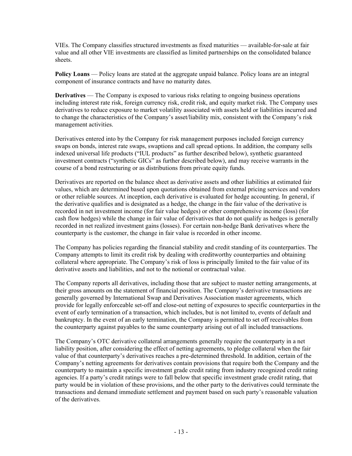VIEs. The Company classifies structured investments as fixed maturities — available-for-sale at fair value and all other VIE investments are classified as limited partnerships on the consolidated balance sheets.

**Policy Loans** — Policy loans are stated at the aggregate unpaid balance. Policy loans are an integral component of insurance contracts and have no maturity dates.

**Derivatives** — The Company is exposed to various risks relating to ongoing business operations including interest rate risk, foreign currency risk, credit risk, and equity market risk. The Company uses derivatives to reduce exposure to market volatility associated with assets held or liabilities incurred and to change the characteristics of the Company's asset/liability mix, consistent with the Company's risk management activities.

Derivatives entered into by the Company for risk management purposes included foreign currency swaps on bonds, interest rate swaps, swaptions and call spread options. In addition, the company sells indexed universal life products ("IUL products" as further described below), synthetic guaranteed investment contracts ("synthetic GICs" as further described below), and may receive warrants in the course of a bond restructuring or as distributions from private equity funds.

Derivatives are reported on the balance sheet as derivative assets and other liabilities at estimated fair values, which are determined based upon quotations obtained from external pricing services and vendors or other reliable sources. At inception, each derivative is evaluated for hedge accounting. In general, if the derivative qualifies and is designated as a hedge, the change in the fair value of the derivative is recorded in net investment income (for fair value hedges) or other comprehensive income (loss) (for cash flow hedges) while the change in fair value of derivatives that do not qualify as hedges is generally recorded in net realized investment gains (losses). For certain non-hedge Bank derivatives where the counterparty is the customer, the change in fair value is recorded in other income.

The Company has policies regarding the financial stability and credit standing of its counterparties. The Company attempts to limit its credit risk by dealing with creditworthy counterparties and obtaining collateral where appropriate. The Company's risk of loss is principally limited to the fair value of its derivative assets and liabilities, and not to the notional or contractual value.

The Company reports all derivatives, including those that are subject to master netting arrangements, at their gross amounts on the statement of financial position. The Company's derivative transactions are generally governed by International Swap and Derivatives Association master agreements, which provide for legally enforceable set-off and close-out netting of exposures to specific counterparties in the event of early termination of a transaction, which includes, but is not limited to, events of default and bankruptcy. In the event of an early termination, the Company is permitted to set off receivables from the counterparty against payables to the same counterparty arising out of all included transactions.

The Company's OTC derivative collateral arrangements generally require the counterparty in a net liability position, after considering the effect of netting agreements, to pledge collateral when the fair value of that counterparty's derivatives reaches a pre-determined threshold. In addition, certain of the Company's netting agreements for derivatives contain provisions that require both the Company and the counterparty to maintain a specific investment grade credit rating from industry recognized credit rating agencies. If a party's credit ratings were to fall below that specific investment grade credit rating, that party would be in violation of these provisions, and the other party to the derivatives could terminate the transactions and demand immediate settlement and payment based on such party's reasonable valuation of the derivatives.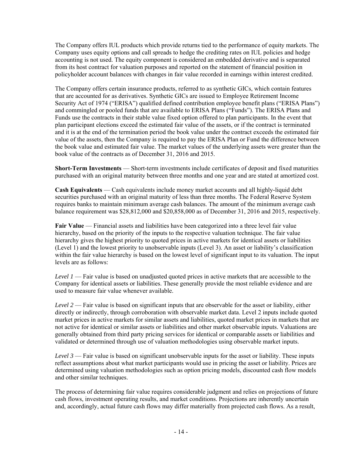The Company offers IUL products which provide returns tied to the performance of equity markets. The Company uses equity options and call spreads to hedge the crediting rates on IUL policies and hedge accounting is not used. The equity component is considered an embedded derivative and is separated from its host contract for valuation purposes and reported on the statement of financial position in policyholder account balances with changes in fair value recorded in earnings within interest credited.

The Company offers certain insurance products, referred to as synthetic GICs, which contain features that are accounted for as derivatives. Synthetic GICs are issued to Employee Retirement Income Security Act of 1974 ("ERISA") qualified defined contribution employee benefit plans ("ERISA Plans") and commingled or pooled funds that are available to ERISA Plans ("Funds"). The ERISA Plans and Funds use the contracts in their stable value fixed option offered to plan participants. In the event that plan participant elections exceed the estimated fair value of the assets, or if the contract is terminated and it is at the end of the termination period the book value under the contract exceeds the estimated fair value of the assets, then the Company is required to pay the ERISA Plan or Fund the difference between the book value and estimated fair value. The market values of the underlying assets were greater than the book value of the contracts as of December 31, 2016 and 2015.

**Short-Term Investments** — Short-term investments include certificates of deposit and fixed maturities purchased with an original maturity between three months and one year and are stated at amortized cost.

**Cash Equivalents** — Cash equivalents include money market accounts and all highly-liquid debt securities purchased with an original maturity of less than three months. The Federal Reserve System requires banks to maintain minimum average cash balances. The amount of the minimum average cash balance requirement was \$28,812,000 and \$20,858,000 as of December 31, 2016 and 2015, respectively.

**Fair Value** — Financial assets and liabilities have been categorized into a three level fair value hierarchy, based on the priority of the inputs to the respective valuation technique. The fair value hierarchy gives the highest priority to quoted prices in active markets for identical assets or liabilities (Level 1) and the lowest priority to unobservable inputs (Level 3). An asset or liability's classification within the fair value hierarchy is based on the lowest level of significant input to its valuation. The input levels are as follows:

*Level 1* — Fair value is based on unadjusted quoted prices in active markets that are accessible to the Company for identical assets or liabilities. These generally provide the most reliable evidence and are used to measure fair value whenever available.

*Level 2* — Fair value is based on significant inputs that are observable for the asset or liability, either directly or indirectly, through corroboration with observable market data. Level 2 inputs include quoted market prices in active markets for similar assets and liabilities, quoted market prices in markets that are not active for identical or similar assets or liabilities and other market observable inputs. Valuations are generally obtained from third party pricing services for identical or comparable assets or liabilities and validated or determined through use of valuation methodologies using observable market inputs.

*Level 3* — Fair value is based on significant unobservable inputs for the asset or liability. These inputs reflect assumptions about what market participants would use in pricing the asset or liability. Prices are determined using valuation methodologies such as option pricing models, discounted cash flow models and other similar techniques.

The process of determining fair value requires considerable judgment and relies on projections of future cash flows, investment operating results, and market conditions. Projections are inherently uncertain and, accordingly, actual future cash flows may differ materially from projected cash flows. As a result,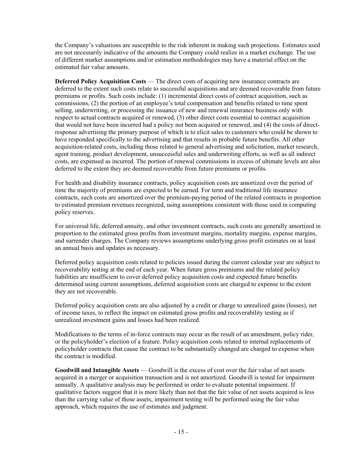the Company's valuations are susceptible to the risk inherent in making such projections. Estimates used are not necessarily indicative of the amounts the Company could realize in a market exchange. The use of different market assumptions and/or estimation methodologies may have a material effect on the estimated fair value amounts.

**Deferred Policy Acquisition Costs** — The direct costs of acquiring new insurance contracts are deferred to the extent such costs relate to successful acquisitions and are deemed recoverable from future premiums or profits. Such costs include: (1) incremental direct costs of contract acquisition, such as commissions, (2) the portion of an employee's total compensation and benefits related to time spent selling, underwriting, or processing the issuance of new and renewal insurance business only with respect to actual contracts acquired or renewed, (3) other direct costs essential to contract acquisition that would not have been incurred had a policy not been acquired or renewed, and (4) the costs of directresponse advertising the primary purpose of which is to elicit sales to customers who could be shown to have responded specifically to the advertising and that results in probable future benefits. All other acquisition-related costs, including those related to general advertising and solicitation, market research, agent training, product development, unsuccessful sales and underwriting efforts, as well as all indirect costs, are expensed as incurred. The portion of renewal commissions in excess of ultimate levels are also deferred to the extent they are deemed recoverable from future premiums or profits.

For health and disability insurance contracts, policy acquisition costs are amortized over the period of time the majority of premiums are expected to be earned. For term and traditional life insurance contracts, such costs are amortized over the premium-paying period of the related contracts in proportion to estimated premium revenues recognized, using assumptions consistent with those used in computing policy reserves.

For universal life, deferred annuity, and other investment contracts, such costs are generally amortized in proportion to the estimated gross profits from investment margins, mortality margins, expense margins, and surrender charges. The Company reviews assumptions underlying gross profit estimates on at least an annual basis and updates as necessary.

Deferred policy acquisition costs related to policies issued during the current calendar year are subject to recoverability testing at the end of each year. When future gross premiums and the related policy liabilities are insufficient to cover deferred policy acquisition costs and expected future benefits determined using current assumptions, deferred acquisition costs are charged to expense to the extent they are not recoverable.

Deferred policy acquisition costs are also adjusted by a credit or charge to unrealized gains (losses), net of income taxes, to reflect the impact on estimated gross profits and recoverability testing as if unrealized investment gains and losses had been realized.

Modifications to the terms of in-force contracts may occur as the result of an amendment, policy rider, or the policyholder's election of a feature. Policy acquisition costs related to internal replacements of policyholder contracts that cause the contract to be substantially changed are charged to expense when the contract is modified.

**Goodwill and Intangible Assets** — Goodwill is the excess of cost over the fair value of net assets acquired in a merger or acquisition transaction and is not amortized. Goodwill is tested for impairment annually. A qualitative analysis may be performed in order to evaluate potential impairment. If qualitative factors suggest that it is more likely than not that the fair value of net assets acquired is less than the carrying value of those assets, impairment testing will be performed using the fair value approach, which requires the use of estimates and judgment.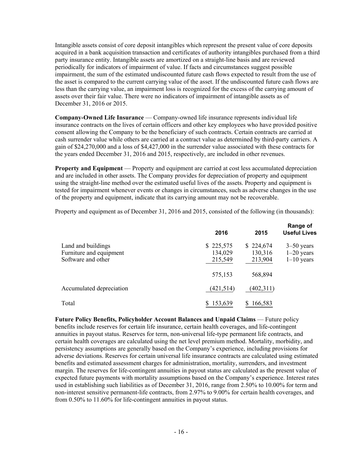Intangible assets consist of core deposit intangibles which represent the present value of core deposits acquired in a bank acquisition transaction and certificates of authority intangibles purchased from a third party insurance entity. Intangible assets are amortized on a straight-line basis and are reviewed periodically for indicators of impairment of value. If facts and circumstances suggest possible impairment, the sum of the estimated undiscounted future cash flows expected to result from the use of the asset is compared to the current carrying value of the asset. If the undiscounted future cash flows are less than the carrying value, an impairment loss is recognized for the excess of the carrying amount of assets over their fair value. There were no indicators of impairment of intangible assets as of December 31, 2016 or 2015.

**Company-Owned Life Insurance** — Company-owned life insurance represents individual life insurance contracts on the lives of certain officers and other key employees who have provided positive consent allowing the Company to be the beneficiary of such contracts. Certain contracts are carried at cash surrender value while others are carried at a contract value as determined by third-party carriers. A gain of \$24,270,000 and a loss of \$4,427,000 in the surrender value associated with these contracts for the years ended December 31, 2016 and 2015, respectively, are included in other revenues.

**Property and Equipment** — Property and equipment are carried at cost less accumulated depreciation and are included in other assets. The Company provides for depreciation of property and equipment using the straight-line method over the estimated useful lives of the assets. Property and equipment is tested for impairment whenever events or changes in circumstances, such as adverse changes in the use of the property and equipment, indicate that its carrying amount may not be recoverable.

Property and equipment as of December 31, 2016 and 2015, consisted of the following (in thousands):

|                                                                     | 2016                            | 2015                            | Range of<br><b>Useful Lives</b>              |
|---------------------------------------------------------------------|---------------------------------|---------------------------------|----------------------------------------------|
| Land and buildings<br>Furniture and equipment<br>Software and other | \$225,575<br>134,029<br>215,549 | \$224,674<br>130,316<br>213,904 | $3-50$ years<br>$1-20$ years<br>$1-10$ years |
|                                                                     | 575,153                         | 568,894                         |                                              |
| Accumulated depreciation                                            | (421,514)                       | (402,311)                       |                                              |
| Total                                                               | 153,639                         | 166,583                         |                                              |

**Future Policy Benefits, Policyholder Account Balances and Unpaid Claims** — Future policy benefits include reserves for certain life insurance, certain health coverages, and life-contingent annuities in payout status. Reserves for term, non-universal life-type permanent life contracts, and certain health coverages are calculated using the net level premium method. Mortality, morbidity, and persistency assumptions are generally based on the Company's experience, including provisions for adverse deviations. Reserves for certain universal life insurance contracts are calculated using estimated benefits and estimated assessment charges for administration, mortality, surrenders, and investment margin. The reserves for life-contingent annuities in payout status are calculated as the present value of expected future payments with mortality assumptions based on the Company's experience. Interest rates used in establishing such liabilities as of December 31, 2016, range from 2.50% to 10.00% for term and non-interest sensitive permanent-life contracts, from 2.97% to 9.00% for certain health coverages, and from 0.50% to 11.60% for life-contingent annuities in payout status.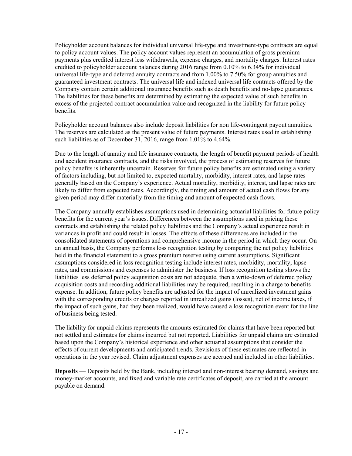Policyholder account balances for individual universal life-type and investment-type contracts are equal to policy account values. The policy account values represent an accumulation of gross premium payments plus credited interest less withdrawals, expense charges, and mortality charges. Interest rates credited to policyholder account balances during 2016 range from 0.10% to 6.34% for individual universal life-type and deferred annuity contracts and from 1.00% to 7.50% for group annuities and guaranteed investment contracts. The universal life and indexed universal life contracts offered by the Company contain certain additional insurance benefits such as death benefits and no-lapse guarantees. The liabilities for these benefits are determined by estimating the expected value of such benefits in excess of the projected contract accumulation value and recognized in the liability for future policy benefits.

Policyholder account balances also include deposit liabilities for non life-contingent payout annuities. The reserves are calculated as the present value of future payments. Interest rates used in establishing such liabilities as of December 31, 2016, range from 1.01% to 4.64%.

Due to the length of annuity and life insurance contracts, the length of benefit payment periods of health and accident insurance contracts, and the risks involved, the process of estimating reserves for future policy benefits is inherently uncertain. Reserves for future policy benefits are estimated using a variety of factors including, but not limited to, expected mortality, morbidity, interest rates, and lapse rates generally based on the Company's experience. Actual mortality, morbidity, interest, and lapse rates are likely to differ from expected rates. Accordingly, the timing and amount of actual cash flows for any given period may differ materially from the timing and amount of expected cash flows.

The Company annually establishes assumptions used in determining actuarial liabilities for future policy benefits for the current year's issues. Differences between the assumptions used in pricing these contracts and establishing the related policy liabilities and the Company's actual experience result in variances in profit and could result in losses. The effects of these differences are included in the consolidated statements of operations and comprehensive income in the period in which they occur. On an annual basis, the Company performs loss recognition testing by comparing the net policy liabilities held in the financial statement to a gross premium reserve using current assumptions. Significant assumptions considered in loss recognition testing include interest rates, morbidity, mortality, lapse rates, and commissions and expenses to administer the business. If loss recognition testing shows the liabilities less deferred policy acquisition costs are not adequate, then a write-down of deferred policy acquisition costs and recording additional liabilities may be required, resulting in a charge to benefits expense. In addition, future policy benefits are adjusted for the impact of unrealized investment gains with the corresponding credits or charges reported in unrealized gains (losses), net of income taxes, if the impact of such gains, had they been realized, would have caused a loss recognition event for the line of business being tested.

The liability for unpaid claims represents the amounts estimated for claims that have been reported but not settled and estimates for claims incurred but not reported. Liabilities for unpaid claims are estimated based upon the Company's historical experience and other actuarial assumptions that consider the effects of current developments and anticipated trends. Revisions of these estimates are reflected in operations in the year revised. Claim adjustment expenses are accrued and included in other liabilities.

**Deposits** — Deposits held by the Bank, including interest and non-interest bearing demand, savings and money-market accounts, and fixed and variable rate certificates of deposit, are carried at the amount payable on demand.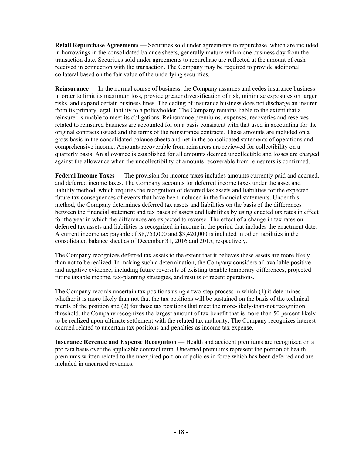**Retail Repurchase Agreements** — Securities sold under agreements to repurchase, which are included in borrowings in the consolidated balance sheets, generally mature within one business day from the transaction date. Securities sold under agreements to repurchase are reflected at the amount of cash received in connection with the transaction. The Company may be required to provide additional collateral based on the fair value of the underlying securities.

**Reinsurance** — In the normal course of business, the Company assumes and cedes insurance business in order to limit its maximum loss, provide greater diversification of risk, minimize exposures on larger risks, and expand certain business lines. The ceding of insurance business does not discharge an insurer from its primary legal liability to a policyholder. The Company remains liable to the extent that a reinsurer is unable to meet its obligations. Reinsurance premiums, expenses, recoveries and reserves related to reinsured business are accounted for on a basis consistent with that used in accounting for the original contracts issued and the terms of the reinsurance contracts. These amounts are included on a gross basis in the consolidated balance sheets and net in the consolidated statements of operations and comprehensive income. Amounts recoverable from reinsurers are reviewed for collectibility on a quarterly basis. An allowance is established for all amounts deemed uncollectible and losses are charged against the allowance when the uncollectibility of amounts recoverable from reinsurers is confirmed.

**Federal Income Taxes** — The provision for income taxes includes amounts currently paid and accrued, and deferred income taxes. The Company accounts for deferred income taxes under the asset and liability method, which requires the recognition of deferred tax assets and liabilities for the expected future tax consequences of events that have been included in the financial statements. Under this method, the Company determines deferred tax assets and liabilities on the basis of the differences between the financial statement and tax bases of assets and liabilities by using enacted tax rates in effect for the year in which the differences are expected to reverse. The effect of a change in tax rates on deferred tax assets and liabilities is recognized in income in the period that includes the enactment date. A current income tax payable of \$8,753,000 and \$3,420,000 is included in other liabilities in the consolidated balance sheet as of December 31, 2016 and 2015, respectively.

The Company recognizes deferred tax assets to the extent that it believes these assets are more likely than not to be realized. In making such a determination, the Company considers all available positive and negative evidence, including future reversals of existing taxable temporary differences, projected future taxable income, tax-planning strategies, and results of recent operations.

The Company records uncertain tax positions using a two-step process in which (1) it determines whether it is more likely than not that the tax positions will be sustained on the basis of the technical merits of the position and (2) for those tax positions that meet the more-likely-than-not recognition threshold, the Company recognizes the largest amount of tax benefit that is more than 50 percent likely to be realized upon ultimate settlement with the related tax authority. The Company recognizes interest accrued related to uncertain tax positions and penalties as income tax expense.

**Insurance Revenue and Expense Recognition** — Health and accident premiums are recognized on a pro rata basis over the applicable contract term. Unearned premiums represent the portion of health premiums written related to the unexpired portion of policies in force which has been deferred and are included in unearned revenues.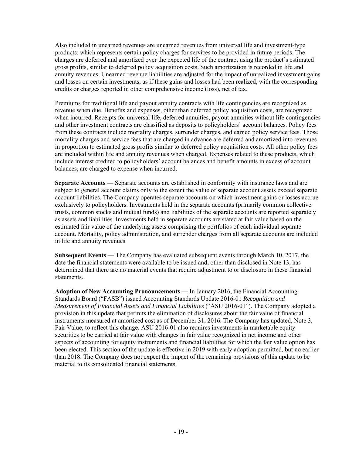Also included in unearned revenues are unearned revenues from universal life and investment-type products, which represents certain policy charges for services to be provided in future periods. The charges are deferred and amortized over the expected life of the contract using the product's estimated gross profits, similar to deferred policy acquisition costs. Such amortization is recorded in life and annuity revenues. Unearned revenue liabilities are adjusted for the impact of unrealized investment gains and losses on certain investments, as if these gains and losses had been realized, with the corresponding credits or charges reported in other comprehensive income (loss), net of tax.

Premiums for traditional life and payout annuity contracts with life contingencies are recognized as revenue when due. Benefits and expenses, other than deferred policy acquisition costs, are recognized when incurred. Receipts for universal life, deferred annuities, payout annuities without life contingencies and other investment contracts are classified as deposits to policyholders' account balances. Policy fees from these contracts include mortality charges, surrender charges, and earned policy service fees. Those mortality charges and service fees that are charged in advance are deferred and amortized into revenues in proportion to estimated gross profits similar to deferred policy acquisition costs. All other policy fees are included within life and annuity revenues when charged. Expenses related to these products, which include interest credited to policyholders' account balances and benefit amounts in excess of account balances, are charged to expense when incurred.

**Separate Accounts** — Separate accounts are established in conformity with insurance laws and are subject to general account claims only to the extent the value of separate account assets exceed separate account liabilities. The Company operates separate accounts on which investment gains or losses accrue exclusively to policyholders. Investments held in the separate accounts (primarily common collective trusts, common stocks and mutual funds) and liabilities of the separate accounts are reported separately as assets and liabilities. Investments held in separate accounts are stated at fair value based on the estimated fair value of the underlying assets comprising the portfolios of each individual separate account. Mortality, policy administration, and surrender charges from all separate accounts are included in life and annuity revenues.

**Subsequent Events** — The Company has evaluated subsequent events through March 10, 2017, the date the financial statements were available to be issued and, other than disclosed in Note 13, has determined that there are no material events that require adjustment to or disclosure in these financial statements.

**Adoption of New Accounting Pronouncements —** In January 2016, the Financial Accounting Standards Board ("FASB") issued Accounting Standards Update 2016-01 *Recognition and Measurement of Financial Assets and Financial Liabilities* ("ASU 2016-01"). The Company adopted a provision in this update that permits the elimination of disclosures about the fair value of financial instruments measured at amortized cost as of December 31, 2016. The Company has updated, Note 3, Fair Value, to reflect this change. ASU 2016-01 also requires investments in marketable equity securities to be carried at fair value with changes in fair value recognized in net income and other aspects of accounting for equity instruments and financial liabilities for which the fair value option has been elected. This section of the update is effective in 2019 with early adoption permitted, but no earlier than 2018. The Company does not expect the impact of the remaining provisions of this update to be material to its consolidated financial statements.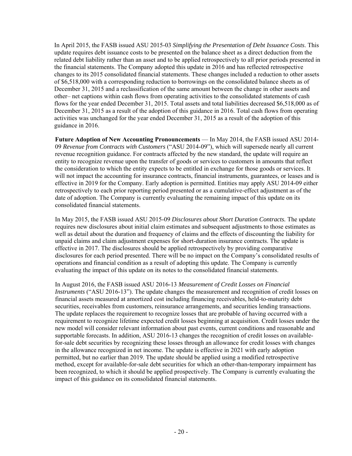In April 2015, the FASB issued ASU 2015-03 *Simplifying the Presentation of Debt Issuance Costs*. This update requires debt issuance costs to be presented on the balance sheet as a direct deduction from the related debt liability rather than an asset and to be applied retrospectively to all prior periods presented in the financial statements. The Company adopted this update in 2016 and has reflected retrospective changes to its 2015 consolidated financial statements. These changes included a reduction to other assets of \$6,518,000 with a corresponding reduction to borrowings on the consolidated balance sheets as of December 31, 2015 and a reclassification of the same amount between the change in other assets and other– net captions within cash flows from operating activities to the consolidated statements of cash flows for the year ended December 31, 2015. Total assets and total liabilities decreased \$6,518,000 as of December 31, 2015 as a result of the adoption of this guidance in 2016. Total cash flows from operating activities was unchanged for the year ended December 31, 2015 as a result of the adoption of this guidance in 2016.

**Future Adoption of New Accounting Pronouncements** — In May 2014, the FASB issued ASU 2014- 09 *Revenue from Contracts with Customers* ("ASU 2014-09"), which will supersede nearly all current revenue recognition guidance. For contracts affected by the new standard, the update will require an entity to recognize revenue upon the transfer of goods or services to customers in amounts that reflect the consideration to which the entity expects to be entitled in exchange for those goods or services. It will not impact the accounting for insurance contracts, financial instruments, guarantees, or leases and is effective in 2019 for the Company. Early adoption is permitted. Entities may apply ASU 2014-09 either retrospectively to each prior reporting period presented or as a cumulative-effect adjustment as of the date of adoption. The Company is currently evaluating the remaining impact of this update on its consolidated financial statements.

In May 2015, the FASB issued ASU 2015-09 *Disclosures about Short Duration Contracts.* The update requires new disclosures about initial claim estimates and subsequent adjustments to those estimates as well as detail about the duration and frequency of claims and the effects of discounting the liability for unpaid claims and claim adjustment expenses for short-duration insurance contracts. The update is effective in 2017. The disclosures should be applied retrospectively by providing comparative disclosures for each period presented. There will be no impact on the Company's consolidated results of operations and financial condition as a result of adopting this update. The Company is currently evaluating the impact of this update on its notes to the consolidated financial statements.

In August 2016, the FASB issued ASU 2016-13 *Measurement of Credit Losses on Financial Instruments* ("ASU 2016-13"). The update changes the measurement and recognition of credit losses on financial assets measured at amortized cost including financing receivables, held-to-maturity debt securities, receivables from customers, reinsurance arrangements, and securities lending transactions. The update replaces the requirement to recognize losses that are probable of having occurred with a requirement to recognize lifetime expected credit losses beginning at acquisition. Credit losses under the new model will consider relevant information about past events, current conditions and reasonable and supportable forecasts. In addition, ASU 2016-13 changes the recognition of credit losses on availablefor-sale debt securities by recognizing these losses through an allowance for credit losses with changes in the allowance recognized in net income. The update is effective in 2021 with early adoption permitted, but no earlier than 2019. The update should be applied using a modified retrospective method, except for available-for-sale debt securities for which an other-than-temporary impairment has been recognized, to which it should be applied prospectively. The Company is currently evaluating the impact of this guidance on its consolidated financial statements.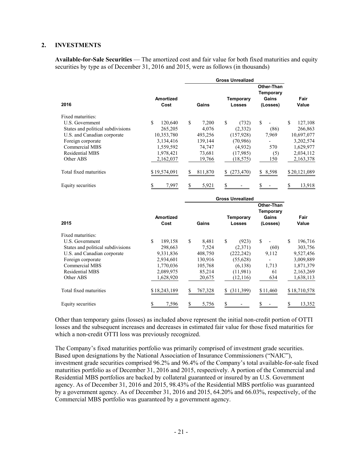#### **2. INVESTMENTS**

**Available-for-Sale Securities** — The amortized cost and fair value for both fixed maturities and equity securities by type as of December 31, 2016 and 2015, were as follows (in thousands)

|                                   |                          | <b>Gross Unrealized</b> |       |         |                                   |            |                                                     |         |   |               |
|-----------------------------------|--------------------------|-------------------------|-------|---------|-----------------------------------|------------|-----------------------------------------------------|---------|---|---------------|
| 2016                              | <b>Amortized</b><br>Cost |                         | Gains |         | <b>Temporary</b><br><b>Losses</b> |            | Other-Than<br><b>Temporary</b><br>Gains<br>(Losses) |         |   | Fair<br>Value |
| Fixed maturities:                 |                          |                         |       |         |                                   |            |                                                     |         |   |               |
| U.S. Government                   | \$                       | 120,640                 | \$    | 7.200   | \$                                | (732)      | \$                                                  |         | S | 127,108       |
| States and political subdivisions |                          | 265,205                 |       | 4,076   |                                   | (2,332)    |                                                     | (86)    |   | 266,863       |
| U.S. and Canadian corporate       |                          | 10,353,780              |       | 493,256 |                                   | (157, 928) |                                                     | 7,969   |   | 10,697,077    |
| Foreign corporate                 |                          | 3,134,416               |       | 139,144 |                                   | (70,986)   |                                                     |         |   | 3,202,574     |
| Commercial MBS                    |                          | 1,559,592               |       | 74,747  |                                   | (4,932)    |                                                     | 570     |   | 1,629,977     |
| <b>Residential MBS</b>            |                          | 1,978,421               |       | 73,681  |                                   | (17,985)   |                                                     | (5)     |   | 2,034,112     |
| Other ABS                         |                          | 2,162,037               |       | 19,766  |                                   | (18, 575)  |                                                     | 150     |   | 2,163,378     |
| Total fixed maturities            |                          | \$19,574,091            | S     | 811,870 | S.                                | (273, 470) |                                                     | \$8,598 |   | \$20,121,089  |
| Equity securities                 |                          | 7,997                   | S     | 5,921   | S                                 |            |                                                     |         |   | 13,918        |

|                                   |                          |              | <b>Gross Unrealized</b> |         |                                   |               |                                              |          |               |
|-----------------------------------|--------------------------|--------------|-------------------------|---------|-----------------------------------|---------------|----------------------------------------------|----------|---------------|
| 2015                              | <b>Amortized</b><br>Cost |              | Gains                   |         | <b>Temporary</b><br><b>Losses</b> |               | Other-Than<br>Temporary<br>Gains<br>(Losses) |          | Fair<br>Value |
| Fixed maturities:                 |                          |              |                         |         |                                   |               |                                              |          |               |
| U.S. Government                   | \$                       | 189,158      | \$                      | 8,481   | \$                                | (923)         | \$                                           |          | \$<br>196,716 |
| States and political subdivisions |                          | 298,663      |                         | 7,524   |                                   | (2,371)       |                                              | (60)     | 303,756       |
| U.S. and Canadian corporate       |                          | 9,331,836    |                         | 408,750 |                                   | (222, 242)    |                                              | 9,112    | 9,527,456     |
| Foreign corporate                 |                          | 2,934,601    |                         | 130,916 |                                   | (55, 628)     |                                              |          | 3,009,889     |
| Commercial MBS                    |                          | 1,770,036    |                         | 105,768 |                                   | (6, 138)      |                                              | 1,713    | 1,871,379     |
| <b>Residential MBS</b>            |                          | 2,089,975    |                         | 85,214  |                                   | (11,981)      |                                              | 61       | 2,163,269     |
| Other ABS                         |                          | 1,628,920    |                         | 20,675  |                                   | (12, 116)     |                                              | 634      | 1,638,113     |
| Total fixed maturities            |                          | \$18,243,189 | S                       | 767,328 |                                   | $$$ (311,399) |                                              | \$11,460 | \$18,710,578  |
| Equity securities                 |                          | 7,596        | S                       | 5,756   | \$                                |               |                                              |          | 13,352        |

Other than temporary gains (losses) as included above represent the initial non-credit portion of OTTI losses and the subsequent increases and decreases in estimated fair value for those fixed maturities for which a non-credit OTTI loss was previously recognized.

The Company's fixed maturities portfolio was primarily comprised of investment grade securities. Based upon designations by the National Association of Insurance Commissioners ("NAIC"), investment grade securities comprised 96.2% and 96.4% of the Company's total available-for-sale fixed maturities portfolio as of December 31, 2016 and 2015, respectively. A portion of the Commercial and Residential MBS portfolios are backed by collateral guaranteed or insured by an U.S. Government agency. As of December 31, 2016 and 2015, 98.43% of the Residential MBS portfolio was guaranteed by a government agency. As of December 31, 2016 and 2015, 64.20% and 66.03%, respectively, of the Commercial MBS portfolio was guaranteed by a government agency.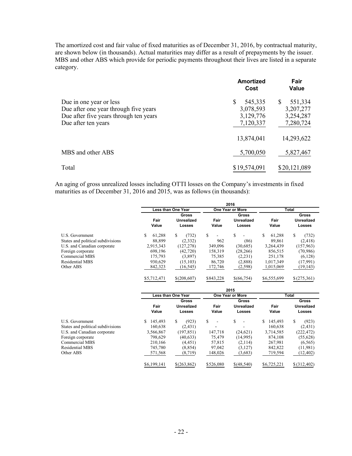The amortized cost and fair value of fixed maturities as of December 31, 2016, by contractual maturity, are shown below (in thousands). Actual maturities may differ as a result of prepayments by the issuer. MBS and other ABS which provide for periodic payments throughout their lives are listed in a separate category.

|                                                                                                                                   | <b>Amortized</b><br>Cost                             | Fair<br><b>Value</b>                           |
|-----------------------------------------------------------------------------------------------------------------------------------|------------------------------------------------------|------------------------------------------------|
| Due in one year or less<br>Due after one year through five years<br>Due after five years through ten years<br>Due after ten years | \$<br>545,335<br>3,078,593<br>3,129,776<br>7,120,337 | 551,334<br>3,207,277<br>3,254,287<br>7,280,724 |
|                                                                                                                                   | 13,874,041                                           | 14,293,622                                     |
| MBS and other ABS                                                                                                                 | 5,700,050                                            | 5,827,467                                      |
| Total                                                                                                                             | \$19,574,091                                         | \$20,121,089                                   |

An aging of gross unrealized losses including OTTI losses on the Company's investments in fixed maturities as of December 31, 2016 and 2015, was as follows (in thousands):

|                                                                                                                                                            |   |                                                                           |                                                                                       |                                                                     | 2016 |                                                                 |   |                                                                               |       |                                                                                 |
|------------------------------------------------------------------------------------------------------------------------------------------------------------|---|---------------------------------------------------------------------------|---------------------------------------------------------------------------------------|---------------------------------------------------------------------|------|-----------------------------------------------------------------|---|-------------------------------------------------------------------------------|-------|---------------------------------------------------------------------------------|
|                                                                                                                                                            |   | <b>Less than One Year</b>                                                 |                                                                                       | One Year or More                                                    |      |                                                                 |   |                                                                               | Total |                                                                                 |
|                                                                                                                                                            |   | Fair<br>Value                                                             | Gross<br><b>Unrealized</b><br><b>Losses</b>                                           | Fair<br>Value                                                       |      | Gross<br><b>Unrealized</b><br>Losses                            |   | Fair<br>Value                                                                 |       | <b>Gross</b><br><b>Unrealized</b><br>Losses                                     |
| U.S. Government<br>States and political subdivisions<br>U.S. and Canadian corporate<br>Foreign corporate<br>Commercial MBS<br>Residential MBS<br>Other ABS | S | 61,288<br>88,899<br>2,915,343<br>698.196<br>175,793<br>930.629<br>842,323 | \$<br>(732)<br>(2,332)<br>(127, 278)<br>(42, 720)<br>(3,897)<br>(15.103)<br>(16, 545) | \$<br>۰<br>962<br>349,096<br>158,319<br>75,385<br>86,720<br>172,746 | \$   | (86)<br>(30,685)<br>(28, 266)<br>(2,231)<br>(2,888)<br>(2, 598) | S | 61,288<br>89.861<br>3,264,439<br>856,515<br>251,178<br>1,017,349<br>1,015,069 | S     | (732)<br>(2, 418)<br>(157, 963)<br>(70,986)<br>(6,128)<br>(17,991)<br>(19, 143) |
|                                                                                                                                                            |   | \$5,712,471                                                               | \$(208,607)                                                                           | \$843,228                                                           |      | \$(66,754)                                                      |   | \$6,555,699                                                                   |       | \$(275,361)                                                                     |

|                                                                                                                                                                   |                                                                                   |                                                                                      |                                                                                        | 2015                                                              |                                                                                   |                                                                                       |
|-------------------------------------------------------------------------------------------------------------------------------------------------------------------|-----------------------------------------------------------------------------------|--------------------------------------------------------------------------------------|----------------------------------------------------------------------------------------|-------------------------------------------------------------------|-----------------------------------------------------------------------------------|---------------------------------------------------------------------------------------|
|                                                                                                                                                                   |                                                                                   | <b>Less than One Year</b>                                                            |                                                                                        | One Year or More                                                  | Total                                                                             |                                                                                       |
|                                                                                                                                                                   | Fair<br>Value                                                                     | <b>Gross</b><br><b>Unrealized</b><br><b>Losses</b>                                   | Fair<br>Value                                                                          | Gross<br><b>Unrealized</b><br>Losses                              | Fair<br>Value                                                                     | <b>Gross</b><br><b>Unrealized</b><br>Losses                                           |
| U.S. Government<br>States and political subdivisions<br>U.S. and Canadian corporate<br>Foreign corporate<br>Commercial MBS<br><b>Residential MBS</b><br>Other ABS | 145,493<br>S.<br>160,638<br>3,566,867<br>798,629<br>210,166<br>745,780<br>571,568 | S<br>(923)<br>(2,431)<br>(197, 851)<br>(40, 633)<br>(4, 451)<br>(8, 854)<br>(8, 719) | S<br>$\overline{\phantom{a}}$<br>-<br>147,718<br>75,479<br>57,815<br>97,042<br>148,026 | \$<br>۰<br>(24, 621)<br>(14,995)<br>(2,114)<br>(3,127)<br>(3,683) | 145,493<br>S.<br>160.638<br>3,714,585<br>874,108<br>267,981<br>842,822<br>719,594 | S<br>(923)<br>(2, 431)<br>(222, 472)<br>(55,628)<br>(6, 565)<br>(11,981)<br>(12, 402) |
|                                                                                                                                                                   | \$6,199,141                                                                       | \$(263, 862)                                                                         | \$526,080                                                                              | \$(48,540)                                                        | \$6,725,221                                                                       | $$$ $(312,402)$                                                                       |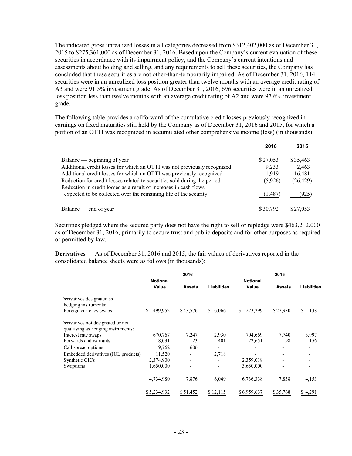The indicated gross unrealized losses in all categories decreased from \$312,402,000 as of December 31, 2015 to \$275,361,000 as of December 31, 2016. Based upon the Company's current evaluation of these securities in accordance with its impairment policy, and the Company's current intentions and assessments about holding and selling, and any requirements to sell these securities, the Company has concluded that these securities are not other-than-temporarily impaired. As of December 31, 2016, 114 securities were in an unrealized loss position greater than twelve months with an average credit rating of A3 and were 91.5% investment grade. As of December 31, 2016, 696 securities were in an unrealized loss position less than twelve months with an average credit rating of A2 and were 97.6% investment grade.

The following table provides a rollforward of the cumulative credit losses previously recognized in earnings on fixed maturities still held by the Company as of December 31, 2016 and 2015, for which a portion of an OTTI was recognized in accumulated other comprehensive income (loss) (in thousands):

|                                                                                                                                       | 2016     | 2015      |
|---------------------------------------------------------------------------------------------------------------------------------------|----------|-----------|
| Balance — beginning of year                                                                                                           | \$27,053 | \$35,463  |
| Additional credit losses for which an OTTI was not previously recognized                                                              | 9,233    | 2,463     |
| Additional credit losses for which an OTTI was previously recognized                                                                  | 1.919    | 16,481    |
| Reduction for credit losses related to securities sold during the period                                                              | (5,926)  | (26, 429) |
| Reduction in credit losses as a result of increases in cash flows<br>expected to be collected over the remaining life of the security | (1,487)  | (925)     |
| Balance — end of year                                                                                                                 | \$30,792 | \$27,053  |

Securities pledged where the secured party does not have the right to sell or repledge were \$463,212,000 as of December 31, 2016, primarily to secure trust and public deposits and for other purposes as required or permitted by law.

**Derivatives** — As of December 31, 2016 and 2015, the fair values of derivatives reported in the consolidated balance sheets were as follows (in thousands):

|                                                                         |                 | 2016                     |                    |                 | 2015                     |                    |
|-------------------------------------------------------------------------|-----------------|--------------------------|--------------------|-----------------|--------------------------|--------------------|
|                                                                         | <b>Notional</b> |                          |                    | <b>Notional</b> |                          |                    |
|                                                                         | Value           | <b>Assets</b>            | <b>Liabilities</b> | Value           | <b>Assets</b>            | <b>Liabilities</b> |
| Derivatives designated as<br>hedging instruments:                       |                 |                          |                    |                 |                          |                    |
| Foreign currency swaps                                                  | 499,952<br>S.   | \$43,576                 | \$<br>6,066        | 223,299<br>\$   | \$27,930                 | \$<br>138          |
| Derivatives not designated or not<br>qualifying as hedging instruments: |                 |                          |                    |                 |                          |                    |
| Interest rate swaps                                                     | 670,767         | 7,247                    | 2,930              | 704,669         | 7,740                    | 3,997              |
| Forwards and warrants                                                   | 18,031          | 23                       | 401                | 22,651          | 98                       | 156                |
| Call spread options                                                     | 9,762           | 606                      |                    |                 |                          |                    |
| Embedded derivatives (IUL products)                                     | 11,520          | $\overline{\phantom{0}}$ | 2,718              |                 | $\overline{\phantom{a}}$ |                    |
| Synthetic GICs                                                          | 2,374,900       |                          |                    | 2,359,018       |                          |                    |
| Swaptions                                                               | 1,650,000       |                          |                    | 3,650,000       |                          |                    |
|                                                                         | 4,734,980       | 7,876                    | 6,049              | 6,736,338       | 7,838                    | 4,153              |
|                                                                         | \$5,234,932     | \$51,452                 | \$12,115           | \$6,959,637     | \$35,768                 | \$4,291            |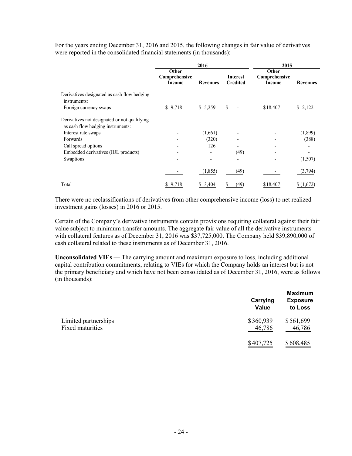For the years ending December 31, 2016 and 2015, the following changes in fair value of derivatives were reported in the consolidated financial statements (in thousands):

|                                                                                   |                                  | 2016                     | 2015                               |                                         |                 |
|-----------------------------------------------------------------------------------|----------------------------------|--------------------------|------------------------------------|-----------------------------------------|-----------------|
|                                                                                   | Other<br>Comprehensive<br>Income | <b>Revenues</b>          | <b>Interest</b><br><b>Credited</b> | <b>Other</b><br>Comprehensive<br>Income | <b>Revenues</b> |
| Derivatives designated as cash flow hedging<br>instruments:                       |                                  |                          |                                    |                                         |                 |
| Foreign currency swaps                                                            | \$9,718                          | \$5,259                  | \$<br>$\overline{\phantom{a}}$     | \$18,407                                | \$2,122         |
| Derivatives not designated or not qualifying<br>as cash flow hedging instruments: |                                  |                          |                                    |                                         |                 |
| Interest rate swaps                                                               |                                  | (1,661)                  |                                    |                                         | (1,899)         |
| Forwards                                                                          |                                  | (320)                    |                                    |                                         | (388)           |
| Call spread options                                                               |                                  | 126                      |                                    |                                         |                 |
| Embedded derivatives (IUL products)                                               |                                  | $\overline{\phantom{a}}$ | (49)                               |                                         |                 |
| Swaptions                                                                         |                                  |                          |                                    |                                         | (1,507)         |
|                                                                                   |                                  | (1,855)                  | (49)                               |                                         | (3,794)         |
| Total                                                                             | 9,718                            | 3,404<br>S.              | (49)                               | \$18,407                                | \$(1,672)       |

There were no reclassifications of derivatives from other comprehensive income (loss) to net realized investment gains (losses) in 2016 or 2015.

Certain of the Company's derivative instruments contain provisions requiring collateral against their fair value subject to minimum transfer amounts. The aggregate fair value of all the derivative instruments with collateral features as of December 31, 2016 was \$37,725,000. The Company held \$39,890,000 of cash collateral related to these instruments as of December 31, 2016.

**Unconsolidated VIEs** — The carrying amount and maximum exposure to loss, including additional capital contribution commitments, relating to VIEs for which the Company holds an interest but is not the primary beneficiary and which have not been consolidated as of December 31, 2016, were as follows (in thousands):

|                                          | Carrying<br>Value   | <b>Maximum</b><br><b>Exposure</b><br>to Loss |
|------------------------------------------|---------------------|----------------------------------------------|
| Limited partnerships<br>Fixed maturities | \$360,939<br>46,786 | \$561,699<br>46,786                          |
|                                          | \$407,725           | \$608,485                                    |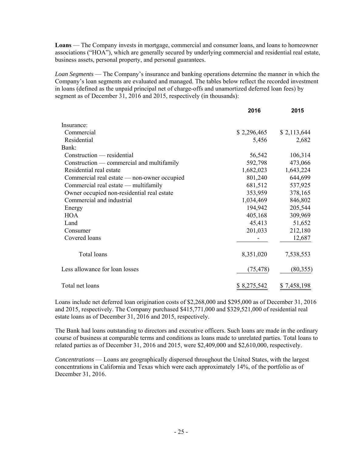**Loans** — The Company invests in mortgage, commercial and consumer loans, and loans to homeowner associations ("HOA"), which are generally secured by underlying commercial and residential real estate, business assets, personal property, and personal guarantees.

*Loan Segments* — The Company's insurance and banking operations determine the manner in which the Company's loan segments are evaluated and managed. The tables below reflect the recorded investment in loans (defined as the unpaid principal net of charge-offs and unamortized deferred loan fees) by segment as of December 31, 2016 and 2015, respectively (in thousands):

|                                             | 2016        | 2015        |
|---------------------------------------------|-------------|-------------|
| Insurance:                                  |             |             |
| Commercial                                  | \$2,296,465 | \$2,113,644 |
| Residential                                 | 5,456       | 2,682       |
| Bank:                                       |             |             |
| Construction — residential                  | 56,542      | 106,314     |
| Construction — commercial and multifamily   | 592,798     | 473,066     |
| Residential real estate                     | 1,682,023   | 1,643,224   |
| Commercial real estate - non-owner occupied | 801,240     | 644,699     |
| Commercial real estate — multifamily        | 681,512     | 537,925     |
| Owner occupied non-residential real estate  | 353,959     | 378,165     |
| Commercial and industrial                   | 1,034,469   | 846,802     |
| Energy                                      | 194,942     | 205,544     |
| <b>HOA</b>                                  | 405,168     | 309,969     |
| Land                                        | 45,413      | 51,652      |
| Consumer                                    | 201,033     | 212,180     |
| Covered loans                               |             | 12,687      |
| Total loans                                 | 8,351,020   | 7,538,553   |
| Less allowance for loan losses              | (75, 478)   | (80, 355)   |
| Total net loans                             | \$8,275,542 | \$7,458,198 |

Loans include net deferred loan origination costs of \$2,268,000 and \$295,000 as of December 31, 2016 and 2015, respectively. The Company purchased \$415,771,000 and \$329,521,000 of residential real estate loans as of December 31, 2016 and 2015, respectively.

The Bank had loans outstanding to directors and executive officers. Such loans are made in the ordinary course of business at comparable terms and conditions as loans made to unrelated parties. Total loans to related parties as of December 31, 2016 and 2015, were \$2,409,000 and \$2,610,000, respectively.

*Concentrations* — Loans are geographically dispersed throughout the United States, with the largest concentrations in California and Texas which were each approximately 14%, of the portfolio as of December 31, 2016.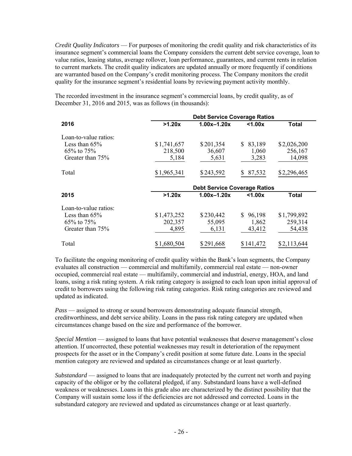*Credit Quality Indicators* — For purposes of monitoring the credit quality and risk characteristics of its insurance segment's commercial loans the Company considers the current debt service coverage, loan to value ratios, leasing status, average rollover, loan performance, guarantees, and current rents in relation to current markets. The credit quality indicators are updated annually or more frequently if conditions are warranted based on the Company's credit monitoring process. The Company monitors the credit quality for the insurance segment's residential loans by reviewing payment activity monthly.

|                       | <b>Debt Service Coverage Ratios</b> |                                     |              |             |  |
|-----------------------|-------------------------------------|-------------------------------------|--------------|-------------|--|
| 2016                  | >1.20x                              | $1.00x - 1.20x$                     | < 1.00x      | Total       |  |
| Loan-to-value ratios: |                                     |                                     |              |             |  |
| Less than $65\%$      | \$1,741,657                         | \$201,354                           | \$83,189     | \$2,026,200 |  |
| 65% to 75%            | 218,500                             | 36,607                              | 1,060        | 256,167     |  |
| Greater than 75%      | 5,184                               | 5,631                               | 3,283        | 14,098      |  |
| Total                 | \$1,965,341                         | \$243,592                           | S<br>87,532  | \$2,296,465 |  |
|                       |                                     | <b>Debt Service Coverage Ratios</b> |              |             |  |
| 2015                  | >1.20x                              | $1.00x - 1.20x$                     | < 1.00x      | Total       |  |
| Loan-to-value ratios: |                                     |                                     |              |             |  |
| Less than $65\%$      | \$1,473,252                         | \$230,442                           | S.<br>96,198 | \$1,799,892 |  |
| $65\%$ to $75\%$      | 202,357                             | 55,095                              | 1,862        | 259,314     |  |
| Greater than 75%      | 4,895                               | 6,131                               | 43,412       | 54,438      |  |
| Total                 | \$1,680,504                         | \$291,668                           | \$141,472    | \$2,113,644 |  |

The recorded investment in the insurance segment's commercial loans, by credit quality, as of December 31, 2016 and 2015, was as follows (in thousands):

To facilitate the ongoing monitoring of credit quality within the Bank's loan segments, the Company evaluates all construction — commercial and multifamily, commercial real estate — non-owner occupied, commercial real estate — multifamily, commercial and industrial, energy, HOA, and land loans, using a risk rating system. A risk rating category is assigned to each loan upon initial approval of credit to borrowers using the following risk rating categories. Risk rating categories are reviewed and updated as indicated.

*Pass* — assigned to strong or sound borrowers demonstrating adequate financial strength, creditworthiness, and debt service ability. Loans in the pass risk rating category are updated when circumstances change based on the size and performance of the borrower.

*Special Mention* — assigned to loans that have potential weaknesses that deserve management's close attention. If uncorrected, these potential weaknesses may result in deterioration of the repayment prospects for the asset or in the Company's credit position at some future date. Loans in the special mention category are reviewed and updated as circumstances change or at least quarterly.

*Substandard* — assigned to loans that are inadequately protected by the current net worth and paying capacity of the obligor or by the collateral pledged, if any. Substandard loans have a well-defined weakness or weaknesses. Loans in this grade also are characterized by the distinct possibility that the Company will sustain some loss if the deficiencies are not addressed and corrected. Loans in the substandard category are reviewed and updated as circumstances change or at least quarterly.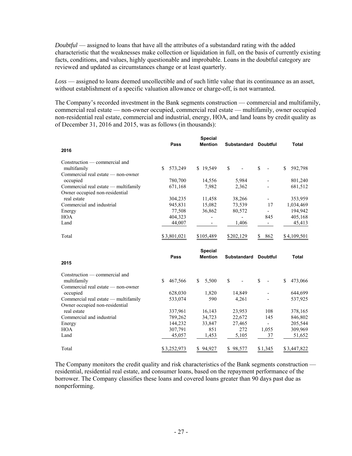*Doubtful* — assigned to loans that have all the attributes of a substandard rating with the added characteristic that the weaknesses make collection or liquidation in full, on the basis of currently existing facts, conditions, and values, highly questionable and improbable. Loans in the doubtful category are reviewed and updated as circumstances change or at least quarterly.

*Loss* — assigned to loans deemed uncollectible and of such little value that its continuance as an asset, without establishment of a specific valuation allowance or charge-off, is not warranted.

The Company's recorded investment in the Bank segments construction — commercial and multifamily, commercial real estate — non-owner occupied, commercial real estate — multifamily, owner occupied non-residential real estate, commercial and industrial, energy, HOA, and land loans by credit quality as of December 31, 2016 and 2015, was as follows (in thousands):

|                                                                        |               | <b>Special</b> |                           |                          |                |
|------------------------------------------------------------------------|---------------|----------------|---------------------------|--------------------------|----------------|
|                                                                        | Pass          | <b>Mention</b> | <b>Substandard</b>        | <b>Doubtful</b>          | <b>Total</b>   |
| 2016                                                                   |               |                |                           |                          |                |
| Construction — commercial and                                          |               |                |                           |                          |                |
| multifamily                                                            | \$<br>573,249 | \$19,549       | $\boldsymbol{\mathsf{S}}$ | $\mathbb{S}$             | \$<br>592,798  |
| Commercial real estate - non-owner                                     |               |                |                           |                          |                |
| occupied                                                               | 780,700       | 14,556         | 5,984                     |                          | 801,240        |
| Commercial real estate — multifamily                                   | 671,168       | 7,982          | 2,362                     |                          | 681,512        |
| Owner occupied non-residential                                         |               |                |                           |                          |                |
| real estate                                                            | 304,235       | 11,458         | 38,266                    | $\overline{\phantom{0}}$ | 353,959        |
| Commercial and industrial                                              | 945,831       | 15,082         | 73,539                    | 17                       | 1,034,469      |
| Energy                                                                 | 77,508        | 36,862         | 80,572                    | $\overline{\phantom{0}}$ | 194,942        |
| <b>HOA</b>                                                             | 404,323       |                | $\overline{\phantom{a}}$  | 845                      | 405,168        |
| Land                                                                   | 44,007        |                | 1,406                     | $\overline{\phantom{0}}$ | 45,413         |
| Total                                                                  | \$3,801,021   | \$105,489      | \$202,129                 | \$<br>862                | \$4,109,501    |
|                                                                        |               |                |                           |                          |                |
|                                                                        |               | <b>Special</b> |                           |                          |                |
|                                                                        | Pass          | <b>Mention</b> | <b>Substandard</b>        | <b>Doubtful</b>          | <b>Total</b>   |
| 2015                                                                   |               |                |                           |                          |                |
| Construction — commercial and                                          |               |                |                           |                          |                |
| multifamily                                                            | \$<br>467,566 | \$<br>5,500    | \$                        | \$                       | \$.<br>473,066 |
| Commercial real estate - non-owner                                     |               |                |                           |                          |                |
| occupied                                                               | 628,030       | 1,820          | 14,849                    |                          | 644,699        |
| Commercial real estate — multifamily<br>Owner occupied non-residential | 533,074       | 590            | 4,261                     |                          | 537,925        |
| real estate                                                            | 337,961       | 16,143         | 23,953                    | 108                      | 378,165        |
| Commercial and industrial                                              | 789,262       | 34,723         | 22,672                    | 145                      | 846,802        |
| Energy                                                                 | 144,232       | 33,847         | 27,465                    | $\overline{\phantom{0}}$ | 205,544        |
| HOA                                                                    | 307,791       | 851            | 272                       | 1,055                    | 309,969        |
| Land                                                                   | 45,057        | 1,453          | 5,105                     | 37                       | 51,652         |

The Company monitors the credit quality and risk characteristics of the Bank segments construction residential, residential real estate, and consumer loans, based on the repayment performance of the borrower. The Company classifies these loans and covered loans greater than 90 days past due as nonperforming.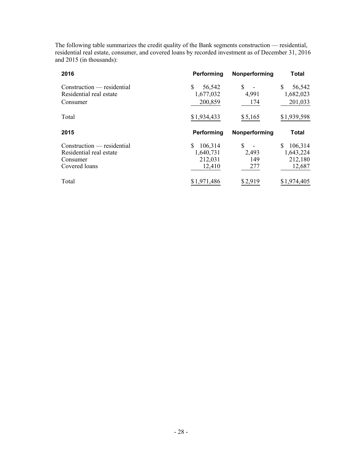The following table summarizes the credit quality of the Bank segments construction — residential, residential real estate, consumer, and covered loans by recorded investment as of December 31, 2016 and 2015 (in thousands):

| 2016                                                  | Performing                | Nonperforming | <b>Total</b>              |
|-------------------------------------------------------|---------------------------|---------------|---------------------------|
| Construction — residential<br>Residential real estate | \$<br>56,542<br>1,677,032 | \$<br>4,991   | \$<br>56,542<br>1,682,023 |
| Consumer                                              | 200,859                   | 174           | 201,033                   |
| Total                                                 | \$1,934,433               | \$5,165       | \$1,939,598               |
|                                                       |                           |               |                           |
| 2015                                                  | Performing                | Nonperforming | Total                     |
| Construction — residential                            | S<br>106,314              | \$            | 106,314<br>S              |
| Residential real estate                               | 1,640,731                 | 2,493         | 1,643,224                 |
| Consumer<br>Covered loans                             | 212,031<br>12,410         | 149<br>277    | 212,180<br>12,687         |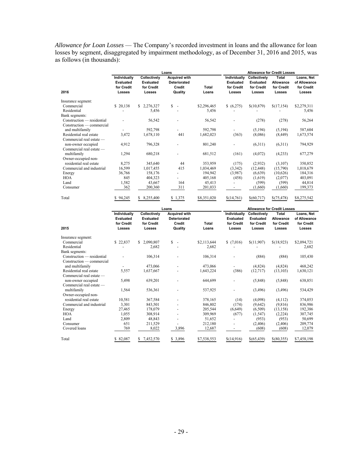*Allowance for Loan Losses* — The Company's recorded investment in loans and the allowance for loan losses by segment, disaggregated by impairment methodology, as of December 31, 2016 and 2015, was as follows (in thousands):

|                            | Loans                                             |                                                   |                                                           |                | <b>Allowance for Credit Losses</b>                |                                                   |                                            |                                                    |  |
|----------------------------|---------------------------------------------------|---------------------------------------------------|-----------------------------------------------------------|----------------|---------------------------------------------------|---------------------------------------------------|--------------------------------------------|----------------------------------------------------|--|
| 2016                       | Individually<br>Evaluated<br>for Credit<br>Losses | Collectively<br>Evaluated<br>for Credit<br>Losses | <b>Acquired with</b><br>Deteriorated<br>Credit<br>Quality | Total<br>Loans | Individually<br>Evaluated<br>for Credit<br>Losses | Collectively<br>Evaluated<br>for Credit<br>Losses | Total<br>Allowance<br>for Credit<br>Losses | Loans, Net<br>of Allowance<br>for Credit<br>Losses |  |
| Insurance segment:         |                                                   |                                                   |                                                           |                |                                                   |                                                   |                                            |                                                    |  |
| Commercial                 | \$20,138                                          | \$2,276,327                                       | $s -$                                                     | \$2,296,465    | (6,275)                                           | \$(10,879)                                        | \$(17,154)                                 | \$2,279,311                                        |  |
| Residential                |                                                   | 5,456                                             |                                                           | 5,456          |                                                   |                                                   |                                            | 5,456                                              |  |
| Bank segments:             |                                                   |                                                   |                                                           |                |                                                   |                                                   |                                            |                                                    |  |
| Construction — residential |                                                   | 56,542                                            |                                                           | 56,542         |                                                   | (278)                                             | (278)                                      | 56,264                                             |  |
| Construction — commercial  |                                                   |                                                   |                                                           |                |                                                   |                                                   |                                            |                                                    |  |
| and multifamily            |                                                   | 592,798                                           |                                                           | 592,798        |                                                   | (5, 194)                                          | (5, 194)                                   | 587,604                                            |  |
| Residential real estate    | 3,472                                             | 1,678,110                                         | 441                                                       | 1,682,023      | (363)                                             | (8,086)                                           | (8, 449)                                   | 1,673,574                                          |  |
| Commercial real estate -   |                                                   |                                                   |                                                           |                |                                                   |                                                   |                                            |                                                    |  |
| non-owner occupied         | 4,912                                             | 796,328                                           |                                                           | 801,240        |                                                   | (6,311)                                           | (6,311)                                    | 794,929                                            |  |
| Commercial real estate -   |                                                   |                                                   |                                                           |                |                                                   |                                                   |                                            |                                                    |  |
| multifamily                | 1,294                                             | 680,218                                           |                                                           | 681,512        | (161)                                             | (4,072)                                           | (4,233)                                    | 677,279                                            |  |
| Owner-occupied non-        |                                                   |                                                   |                                                           |                |                                                   |                                                   |                                            |                                                    |  |
| residential real estate    | 8,275                                             | 345,640                                           | 44                                                        | 353,959        | (175)                                             | (2,932)                                           | (3,107)                                    | 350,852                                            |  |
| Commercial and industrial  | 16,599                                            | 1,017,455                                         | 415                                                       | 1,034,469      | (3,342)                                           | (12, 448)                                         | (15,790)                                   | 1,018,679                                          |  |
| Energy                     | 36,766                                            | 158,176                                           |                                                           | 194,942        | (3,987)                                           | (6,639)                                           | (10,626)                                   | 184,316                                            |  |
| <b>HOA</b>                 | 845                                               | 404,323                                           |                                                           | 405,168        | (458)                                             | (1,619)                                           | (2,077)                                    | 403,091                                            |  |
| Land                       | 1,582                                             | 43,667                                            | 164                                                       | 45,413         | $\overline{\phantom{a}}$                          | (599)                                             | (599)                                      | 44,814                                             |  |
| Consumer                   | 362                                               | 200,360                                           | 311                                                       | 201,033        |                                                   | (1,660)                                           | (1,660)                                    | 199,373                                            |  |
| Total                      | \$94,245                                          | 8,255,400<br>S.                                   | \$1,375                                                   | \$8,351,020    | \$(14,761)                                        | \$(60,717)                                        | \$(75,478)                                 | \$8,275,542                                        |  |

|                            |                                                   |                                                          | Loans                                                            |                       | <b>Allowance for Credit Losses</b>                       |                                                          |                                                          |                                                    |
|----------------------------|---------------------------------------------------|----------------------------------------------------------|------------------------------------------------------------------|-----------------------|----------------------------------------------------------|----------------------------------------------------------|----------------------------------------------------------|----------------------------------------------------|
| 2015                       | Individually<br>Evaluated<br>for Credit<br>Losses | Collectively<br><b>Evaluated</b><br>for Credit<br>Losses | <b>Acquired with</b><br><b>Deteriorated</b><br>Credit<br>Quality | <b>Total</b><br>Loans | Individually<br><b>Evaluated</b><br>for Credit<br>Losses | Collectively<br><b>Evaluated</b><br>for Credit<br>Losses | <b>Total</b><br><b>Allowance</b><br>for Credit<br>Losses | Loans, Net<br>of Allowance<br>for Credit<br>Losses |
| Insurance segment:         |                                                   |                                                          |                                                                  |                       |                                                          |                                                          |                                                          |                                                    |
| Commercial                 | \$22,837                                          | $\mathbf{s}$<br>2,090,807                                | $s -$                                                            | \$2,113,644           | \$(7,016)                                                | \$(11,907)                                               | \$(18,923)                                               | \$2,094,721                                        |
| Residential                |                                                   | 2,682                                                    |                                                                  | 2,682                 |                                                          |                                                          |                                                          | 2,682                                              |
| Bank segments:             |                                                   |                                                          |                                                                  |                       |                                                          |                                                          |                                                          |                                                    |
| Construction — residential |                                                   | 106,314                                                  |                                                                  | 106,314               |                                                          | (884)                                                    | (884)                                                    | 105,430                                            |
| Construction — commercial  |                                                   |                                                          |                                                                  |                       |                                                          |                                                          |                                                          |                                                    |
| and multifamily            |                                                   | 473,066                                                  |                                                                  | 473,066               |                                                          | (4,824)                                                  | (4,824)                                                  | 468,242                                            |
| Residential real estate    | 5,557                                             | 1,637,667                                                |                                                                  | 1,643,224             | (386)                                                    | (12,717)                                                 | (13, 103)                                                | 1,630,121                                          |
| Commercial real estate -   |                                                   |                                                          |                                                                  |                       |                                                          |                                                          |                                                          |                                                    |
| non-owner occupied         | 5,498                                             | 639,201                                                  |                                                                  | 644,699               |                                                          | (5,848)                                                  | (5,848)                                                  | 638,851                                            |
| Commercial real estate -   |                                                   |                                                          |                                                                  |                       |                                                          |                                                          |                                                          |                                                    |
| multifamily                | 1,564                                             | 536,361                                                  |                                                                  | 537,925               |                                                          | (3,496)                                                  | (3,496)                                                  | 534,429                                            |
| Owner-occupied non-        |                                                   |                                                          |                                                                  |                       |                                                          |                                                          |                                                          |                                                    |
| residential real estate    | 10,581                                            | 367,584                                                  |                                                                  | 378,165               | (14)                                                     | (4,098)                                                  | (4,112)                                                  | 374,053                                            |
| Commercial and industrial  | 3,301                                             | 843,501                                                  |                                                                  | 846,802               | (174)                                                    | (9,642)                                                  | (9,816)                                                  | 836,986                                            |
| Energy                     | 27,465                                            | 178,079                                                  |                                                                  | 205,544               | (6,649)                                                  | (6,509)                                                  | (13, 158)                                                | 192,386                                            |
| <b>HOA</b>                 | 1,055                                             | 308,914                                                  |                                                                  | 309,969               | (677)                                                    | (1, 547)                                                 | (2,224)                                                  | 307,745                                            |
| Land                       | 2,809                                             | 48,843                                                   |                                                                  | 51,652                |                                                          | (953)                                                    | (953)                                                    | 50,699                                             |
| Consumer                   | 651                                               | 211,529                                                  |                                                                  | 212,180               |                                                          | (2,406)                                                  | (2,406)                                                  | 209,774                                            |
| Covered loans              | 769                                               | 8,022                                                    | 3,896                                                            | 12,687                |                                                          | (608)                                                    | (608)                                                    | 12,079                                             |
| Total                      | \$ 82,087                                         | 7,452,570<br>\$                                          | \$ 3,896                                                         | \$7,538,553           | \$(14,916)                                               | \$(65,439)                                               | $$$ (80,355)                                             | \$7,458,198                                        |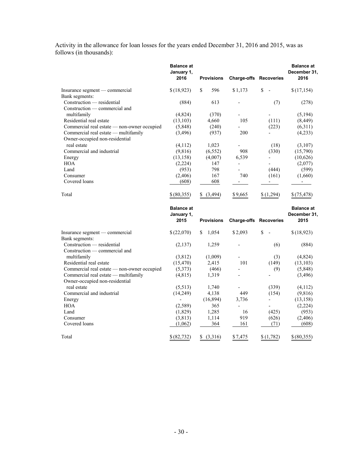Activity in the allowance for loan losses for the years ended December 31, 2016 and 2015, was as follows (in thousands):

|                                                  | <b>Balance at</b><br>January 1,<br>2016 | <b>Provisions</b> |                          | <b>Charge-offs Recoveries</b>  | <b>Balance at</b><br>December 31,<br>2016 |
|--------------------------------------------------|-----------------------------------------|-------------------|--------------------------|--------------------------------|-------------------------------------------|
| Insurance segment — commercial<br>Bank segments: | \$(18,923)                              | \$<br>596         | \$1,173                  | $\mathbf S$<br>$\sim$          | \$(17,154)                                |
| Construction — residential                       | (884)                                   | 613               |                          |                                |                                           |
| Construction — commercial and                    |                                         |                   |                          | (7)                            | (278)                                     |
| multifamily                                      | (4,824)                                 | (370)             |                          |                                | (5,194)                                   |
| Residential real estate                          | (13, 103)                               | 4,660             | 105                      | (111)                          | (8, 449)                                  |
| Commercial real estate — non-owner occupied      | (5,848)                                 | (240)             |                          | (223)                          | (6,311)                                   |
| Commercial real estate - multifamily             | (3,496)                                 | (937)             | 200                      |                                | (4,233)                                   |
| Owner-occupied non-residential                   |                                         |                   |                          |                                |                                           |
| real estate                                      | (4,112)                                 | 1,023             | $\frac{1}{2}$            | (18)                           | (3,107)                                   |
| Commercial and industrial                        | (9,816)                                 | (6, 552)          | 908                      | (330)                          | (15,790)                                  |
| Energy                                           | (13, 158)                               | (4,007)           | 6,539                    | $\overline{\phantom{a}}$       | (10,626)                                  |
| HOA                                              | (2,224)                                 | 147               | $\overline{a}$           | $\overline{\phantom{a}}$       | (2,077)                                   |
| Land                                             | (953)                                   | 798               | $\overline{a}$           | (444)                          | (599)                                     |
| Consumer                                         | (2,406)                                 | 167               | 740                      | (161)                          | (1,660)                                   |
| Covered loans                                    | (608)                                   | 608               | $\overline{\phantom{0}}$ | ۰,                             | $\blacksquare$                            |
|                                                  |                                         |                   |                          |                                |                                           |
| Total                                            | \$ (80,355)                             | \$ (3,494)        | \$9,665                  | \$(1,294)                      | \$(75,478)                                |
|                                                  | <b>Balance at</b><br>January 1,<br>2015 | <b>Provisions</b> |                          | <b>Charge-offs Recoveries</b>  | <b>Balance at</b><br>December 31,<br>2015 |
| Insurance segment — commercial                   | \$(22,070)                              | 1,054<br>S        | \$2,093                  | \$<br>$\overline{\phantom{a}}$ | \$(18,923)                                |
| Bank segments:                                   |                                         |                   |                          |                                |                                           |
| Construction — residential                       | (2,137)                                 | 1,259             |                          | (6)                            | (884)                                     |
| Construction — commercial and                    |                                         |                   |                          |                                |                                           |
| multifamily                                      | (3,812)                                 | (1,009)           | $\overline{a}$           | (3)                            | (4,824)                                   |
| Residential real estate                          | (15, 470)                               | 2,415             | 101                      | (149)                          | (13, 103)                                 |
| Commercial real estate - non-owner occupied      | (5,373)                                 | (466)             |                          | (9)                            | (5,848)                                   |
| Commercial real estate - multifamily             | (4, 815)                                | 1,319             | $\overline{a}$           | $\overline{\phantom{a}}$       | (3, 496)                                  |
| Owner-occupied non-residential                   |                                         |                   |                          |                                |                                           |
| real estate                                      | (5,513)                                 | 1,740             |                          | (339)                          | (4, 112)                                  |
| Commercial and industrial                        | (14,249)                                | 4,138             | 449                      | (154)                          | (9,816)                                   |
| Energy                                           | $\blacksquare$                          | (16, 894)         | 3,736                    | $\overline{\phantom{a}}$       | (13, 158)                                 |
| <b>HOA</b>                                       | (2,589)                                 | 365               | $\overline{\phantom{a}}$ |                                | (2,224)                                   |
| Land                                             | (1,829)                                 | 1,285             | 16                       | (425)                          | (953)                                     |
| Consumer                                         | (3,813)                                 | 1,114             | 919                      | (626)                          | (2,406)                                   |
| Covered loans                                    | (1,062)                                 | 364               | 161                      | (71)                           | (608)                                     |
| Total                                            | \$ (82,732)                             | \$<br>(3,316)     | \$7,475                  | \$(1,782)                      | \$(80,355)                                |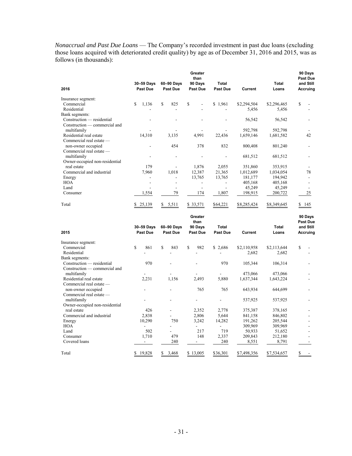*Nonaccrual and Past Due Loans* — The Company's recorded investment in past due loans (excluding those loans acquired with deteriorated credit quality) by age as of December 31, 2016 and 2015, was as follows (in thousands):

| 2016                           |   | 30-59 Days<br>Past Due |    | 60-90 Days<br>Past Due | Greater<br>than<br>90 Days<br>Past Due | Total<br>Past Due | Current     |             | Total<br>Loans |             | 90 Days<br><b>Past Due</b><br>and Still<br><b>Accruing</b> |
|--------------------------------|---|------------------------|----|------------------------|----------------------------------------|-------------------|-------------|-------------|----------------|-------------|------------------------------------------------------------|
| Insurance segment:             |   |                        |    |                        |                                        |                   |             |             |                |             |                                                            |
| Commercial                     | S | 1,136                  | S. | 825                    | \$<br>$\overline{\phantom{a}}$         | \$1,961           | \$2,294,504 | \$2,296,465 |                | $\mathbf S$ |                                                            |
| Residential                    |   |                        |    |                        |                                        |                   | 5,456       |             | 5,456          |             |                                                            |
| Bank segments:                 |   |                        |    |                        |                                        |                   |             |             |                |             |                                                            |
| Construction — residential     |   |                        |    |                        |                                        |                   | 56,542      |             | 56,542         |             |                                                            |
| Construction — commercial and  |   |                        |    |                        |                                        |                   |             |             |                |             |                                                            |
| multifamily                    |   |                        |    |                        |                                        |                   | 592,798     |             | 592,798        |             |                                                            |
| Residential real estate        |   | 14,310                 |    | 3,135                  | 4,991                                  | 22,436            | 1,659,146   |             | 1,681,582      |             | 42                                                         |
| Commercial real estate —       |   |                        |    |                        |                                        |                   |             |             |                |             |                                                            |
| non-owner occupied             |   |                        |    | 454                    | 378                                    | 832               | 800,408     |             | 801,240        |             |                                                            |
| Commercial real estate —       |   |                        |    |                        |                                        |                   |             |             |                |             |                                                            |
| multifamily                    |   |                        |    |                        |                                        |                   | 681,512     |             | 681,512        |             |                                                            |
| Owner-occupied non-residential |   |                        |    |                        |                                        |                   |             |             |                |             |                                                            |
| real estate                    |   | 179                    |    |                        | 1,876                                  | 2,055             | 351,860     |             | 353,915        |             |                                                            |
| Commercial and industrial      |   | 7,960                  |    | 1,018                  | 12,387                                 | 21,365            | 1,012,689   |             | 1,034,054      |             | 78                                                         |
| Energy                         |   |                        |    |                        | 13,765                                 | 13,765            | 181,177     |             | 194,942        |             |                                                            |
| <b>HOA</b>                     |   |                        |    |                        |                                        |                   | 405,168     |             | 405,168        |             |                                                            |
| Land                           |   |                        |    |                        |                                        |                   | 45,249      |             | 45,249         |             |                                                            |
| Consumer                       |   | 1,554                  |    | 79                     | 174                                    | 1,807             | 198,915     |             | 200,722        |             | 25                                                         |
| Total                          |   | 25,139                 |    | 5,511                  | \$33,571                               | \$64,221          | \$8,285,424 | \$8,349,645 |                | \$          | 145                                                        |

| 2015                           | 30-59 Days<br>Past Due | 60-90 Days<br>Past Due |     | Greater<br>than<br>90 Days<br>Past Due | Total<br>Past Due |       | Current     |       | Total<br>Loans |        | 90 Days<br><b>Past Due</b><br>and Still<br>Accruing |
|--------------------------------|------------------------|------------------------|-----|----------------------------------------|-------------------|-------|-------------|-------|----------------|--------|-----------------------------------------------------|
| Insurance segment:             |                        |                        |     |                                        |                   |       |             |       |                |        |                                                     |
| Commercial                     | \$<br>861              | \$<br>843              | \$. | 982                                    | \$.               | 2,686 | \$2,110,958 |       | \$2,113,644    |        | \$                                                  |
| Residential                    |                        | ۰                      |     |                                        |                   |       |             | 2,682 |                | 2,682  |                                                     |
| Bank segments:                 |                        |                        |     |                                        |                   |       |             |       |                |        |                                                     |
| Construction — residential     | 970                    |                        |     |                                        |                   | 970   | 105,344     |       | 106,314        |        |                                                     |
| Construction — commercial and  |                        |                        |     |                                        |                   |       |             |       |                |        |                                                     |
| multifamily                    |                        |                        |     |                                        |                   |       | 473,066     |       | 473,066        |        |                                                     |
| Residential real estate        | 2,231                  | 1,156                  |     | 2,493                                  |                   | 5,880 | 1,637,344   |       | 1,643,224      |        |                                                     |
| Commercial real estate —       |                        |                        |     |                                        |                   |       |             |       |                |        |                                                     |
| non-owner occupied             |                        |                        |     | 765                                    |                   | 765   | 643,934     |       | 644,699        |        |                                                     |
| Commercial real estate -       |                        |                        |     |                                        |                   |       |             |       |                |        |                                                     |
| multifamily                    |                        | ۰                      |     |                                        |                   |       | 537,925     |       | 537,925        |        |                                                     |
| Owner-occupied non-residential |                        |                        |     |                                        |                   |       |             |       |                |        |                                                     |
| real estate                    | 426                    |                        |     | 2,352                                  |                   | 2,778 | 375,387     |       | 378,165        |        |                                                     |
| Commercial and industrial      | 2,838                  |                        |     | 2,806                                  |                   | 5,644 | 841,158     |       | 846,802        |        |                                                     |
| Energy                         | 10,290                 | 750                    |     | 3,242                                  | 14,282            |       | 191,262     |       | 205,544        |        |                                                     |
| HOA                            |                        |                        |     |                                        |                   |       | 309,969     |       | 309,969        |        |                                                     |
| Land                           | 502                    |                        |     | 217                                    |                   | 719   | 50,933      |       |                | 51,652 |                                                     |
| Consumer                       | 1,710                  | 479                    |     | 148                                    |                   | 2,337 | 209,843     |       | 212,180        |        |                                                     |
| Covered loans                  |                        | 240                    |     |                                        |                   | 240   |             | 8,551 |                | 8,791  |                                                     |
| Total                          | 19,828                 | 3,468                  |     | \$13,005                               | \$36,301          |       | \$7,498,356 |       | \$7,534,657    |        | \$                                                  |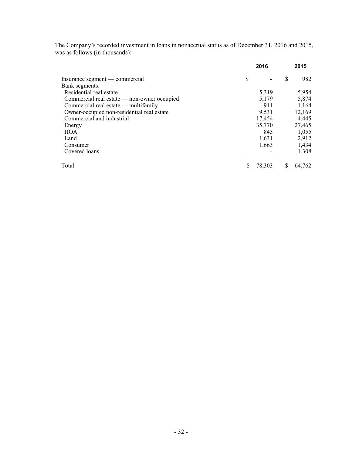The Company's recorded investment in loans in nonaccrual status as of December 31, 2016 and 2015, was as follows (in thousands):

|                                             |   | 2016   | 2015      |
|---------------------------------------------|---|--------|-----------|
| Insurance segment — commercial              | S | -      | \$<br>982 |
| Bank segments:                              |   |        |           |
| Residential real estate                     |   | 5,319  | 5,954     |
| Commercial real estate — non-owner occupied |   | 5,179  | 5,874     |
| Commercial real estate — multifamily        |   | 911    | 1,164     |
| Owner-occupied non-residential real estate  |   | 9,531  | 12,169    |
| Commercial and industrial                   |   | 17,454 | 4,445     |
| Energy                                      |   | 35,770 | 27,465    |
| <b>HOA</b>                                  |   | 845    | 1,055     |
| Land                                        |   | 1,631  | 2,912     |
| Consumer                                    |   | 1,663  | 1,434     |
| Covered loans                               |   |        | 1,308     |
| Total                                       |   | 78,303 | 64.762    |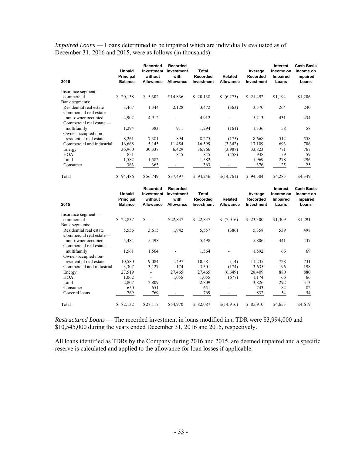*Impaired Loans* — Loans determined to be impaired which are individually evaluated as of December 31, 2016 and 2015, were as follows (in thousands):

| 2016                                      | Unpaid<br>Principal<br><b>Balance</b> | Recorded<br>Investment<br>without<br>Allowance | <b>Recorded</b><br>Investment<br>with<br><b>Allowance</b>                   | <b>Total</b><br>Recorded<br>Investment | Related<br>Allowance        | Average<br><b>Recorded</b><br>Investment | Interest<br>Income on<br>Impaired<br>Loans        | <b>Cash Basis</b><br>Income on<br>Impaired<br>Loans |
|-------------------------------------------|---------------------------------------|------------------------------------------------|-----------------------------------------------------------------------------|----------------------------------------|-----------------------------|------------------------------------------|---------------------------------------------------|-----------------------------------------------------|
| Insurance segment —                       |                                       |                                                |                                                                             |                                        |                             |                                          |                                                   |                                                     |
| commercial                                | \$20,138                              | \$5,302                                        | \$14,836                                                                    | \$20,138                               | \$ (6,275)                  | \$21,492                                 | \$1,194                                           | \$1,206                                             |
| Bank segments:<br>Residential real estate | 3,467                                 | 1,344                                          | 2,128                                                                       | 3,472                                  | (363)                       | 3,570                                    | 264                                               | 240                                                 |
| Commercial real estate —                  |                                       |                                                |                                                                             |                                        |                             |                                          |                                                   |                                                     |
| non-owner occupied                        | 4,902                                 | 4,912                                          |                                                                             | 4,912                                  |                             | 5,213                                    | 431                                               | 434                                                 |
| Commercial real estate -                  |                                       |                                                |                                                                             |                                        |                             |                                          |                                                   |                                                     |
| multifamily                               | 1,294                                 | 383                                            | 911                                                                         | 1,294                                  | (161)                       | 1,336                                    | 58                                                | 58                                                  |
| Owner-occupied non-                       |                                       |                                                |                                                                             |                                        |                             |                                          |                                                   |                                                     |
| residential real estate                   | 8,261                                 | 7,381                                          | 894                                                                         | 8,275                                  | (175)                       | 8,668                                    | 512                                               | 558                                                 |
| Commercial and industrial                 | 16,668                                | 5,145                                          | 11,454                                                                      | 16,599                                 | (3,342)                     | 17,109                                   | 693                                               | 706                                                 |
| Energy                                    | 36,960                                | 30,337                                         | 6,429                                                                       | 36,766                                 | (3,987)                     | 33,823                                   | 771                                               | 767                                                 |
| <b>HOA</b>                                | 851                                   | $\blacksquare$                                 | 845                                                                         | 845                                    | (458)                       | 948                                      | 59<br>278                                         | 59<br>296                                           |
| Land<br>Consumer                          | 1,582<br>363                          | 1,582<br>363                                   | ä,                                                                          | 1,582<br>363                           |                             | 1,969<br>376                             | 25                                                | 25                                                  |
|                                           |                                       |                                                | $\frac{1}{2}$                                                               |                                        |                             |                                          |                                                   |                                                     |
| Total                                     | \$94,486                              | \$56,749                                       | \$37,497                                                                    | \$94,246                               | \$(14,761)                  | \$94,504                                 | \$4,285                                           | \$4,349                                             |
|                                           |                                       |                                                |                                                                             |                                        |                             |                                          |                                                   |                                                     |
| 2015                                      | Unpaid<br>Principal<br><b>Balance</b> | <b>Recorded</b><br>without<br>Allowance        | <b>Recorded</b><br><b>Investment Investment</b><br>with<br><b>Allowance</b> | <b>Total</b><br>Recorded<br>Investment | Related<br><b>Allowance</b> | Average<br><b>Recorded</b><br>Investment | <b>Interest</b><br>Income on<br>Impaired<br>Loans | <b>Cash Basis</b><br>Income on<br>Impaired<br>Loans |
|                                           |                                       |                                                |                                                                             |                                        |                             |                                          |                                                   |                                                     |
| Insurance segment —                       |                                       | $\mathcal{L}_{\mathbf{a}}$                     |                                                                             |                                        |                             |                                          |                                                   |                                                     |
| commercial                                | \$22,837                              | \$                                             | \$22,837                                                                    | \$22,837                               | \$(7,016)                   | \$23,300                                 | \$1,309                                           | \$1,291                                             |
| Bank segments:<br>Residential real estate | 5.556                                 | 3,615                                          | 1.942                                                                       | 5,557                                  | (386)                       | 5,358                                    | 539                                               | 498                                                 |
| Commercial real estate -                  |                                       |                                                |                                                                             |                                        |                             |                                          |                                                   |                                                     |
| non-owner occupied                        | 5,484                                 | 5,498                                          |                                                                             | 5,498                                  |                             | 5,806                                    | 441                                               | 437                                                 |
| Commercial real estate -                  |                                       |                                                |                                                                             |                                        |                             |                                          |                                                   |                                                     |
| multifamily                               | 1,561                                 | 1,564                                          |                                                                             | 1,564                                  |                             | 1,592                                    | 66                                                | 69                                                  |
| Owner-occupied non-                       |                                       |                                                |                                                                             |                                        |                             |                                          |                                                   |                                                     |
| residential real estate                   | 10,580                                | 9,084                                          | 1,497                                                                       | 10,581                                 | (14)                        | 11,235                                   | 728                                               | 731                                                 |
| Commercial and industrial                 | 3,307                                 | 3,127                                          | 174                                                                         | 3,301                                  | (174)                       | 3,635                                    | 196                                               | 198                                                 |
| Energy                                    | 27,519                                | $\blacksquare$                                 | 27,465                                                                      | 27,465                                 | (6,649)                     | 28,409                                   | 880                                               | 880                                                 |
| <b>HOA</b>                                | 1,062                                 | $\overline{a}$                                 | 1,055                                                                       | 1,055                                  | (677)                       | 1,174                                    | 66                                                | 66                                                  |
| Land                                      | 2,807                                 | 2,809                                          | ÷,                                                                          | 2,809                                  |                             | 3,826                                    | 292                                               | 313                                                 |
| Consumer<br>Covered loans                 | 650<br>769                            | 651<br>769                                     | L,<br>$\overline{\phantom{a}}$                                              | 651<br>769                             | ٠                           | 743<br>832                               | 82<br>54                                          | 82<br>54                                            |

*Restructured Loans* — The recorded investment in loans modified in a TDR were \$3,994,000 and \$10,545,000 during the years ended December 31, 2016 and 2015, respectively.

Total \$ 82,132 \$27,117 \$54,970 \$ 82,087 \$(14,916) \$ 85,910 \$4,653 \$4,619

All loans identified as TDRs by the Company during 2016 and 2015, are deemed impaired and a specific reserve is calculated and applied to the allowance for loan losses if applicable.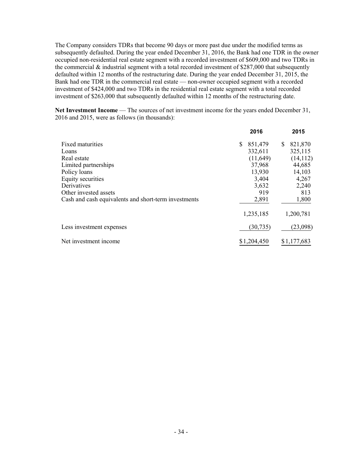The Company considers TDRs that become 90 days or more past due under the modified terms as subsequently defaulted. During the year ended December 31, 2016, the Bank had one TDR in the owner occupied non-residential real estate segment with a recorded investment of \$609,000 and two TDRs in the commercial & industrial segment with a total recorded investment of \$287,000 that subsequently defaulted within 12 months of the restructuring date. During the year ended December 31, 2015, the Bank had one TDR in the commercial real estate — non-owner occupied segment with a recorded investment of \$424,000 and two TDRs in the residential real estate segment with a total recorded investment of \$263,000 that subsequently defaulted within 12 months of the restructuring date.

**Net Investment Income** — The sources of net investment income for the years ended December 31, 2016 and 2015, were as follows (in thousands):

|                                                      | 2016          | 2015          |
|------------------------------------------------------|---------------|---------------|
| Fixed maturities                                     | \$<br>851,479 | \$<br>821,870 |
| Loans                                                | 332,611       | 325,115       |
| Real estate                                          | (11,649)      | (14, 112)     |
| Limited partnerships                                 | 37,968        | 44,685        |
| Policy loans                                         | 13,930        | 14,103        |
| Equity securities                                    | 3,404         | 4,267         |
| Derivatives                                          | 3,632         | 2,240         |
| Other invested assets                                | 919           | 813           |
| Cash and cash equivalents and short-term investments | 2,891         | 1,800         |
|                                                      | 1,235,185     | 1,200,781     |
| Less investment expenses                             | (30, 735)     | (23,098)      |
| Net investment income                                | \$1,204,450   | \$1,177,683   |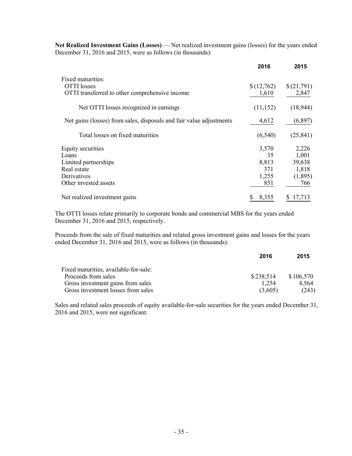|                                                             | Net Realized Investment Gains (Losses) — Net realized investment gains (losses) for the years ended |
|-------------------------------------------------------------|-----------------------------------------------------------------------------------------------------|
| December 31, 2016 and 2015, were as follows (in thousands): |                                                                                                     |

|                                                                     | 2016       | 2015       |
|---------------------------------------------------------------------|------------|------------|
| Fixed maturities:                                                   |            |            |
| OTTI losses                                                         | \$(12,762) | \$(21,791) |
| OTTI transferred to other comprehensive income                      | 1,610      | 2,847      |
| Net OTTI losses recognized in earnings                              | (11, 152)  | (18, 944)  |
| Net gains (losses) from sales, disposals and fair value adjustments | 4,612      | (6,897)    |
| Total losses on fixed maturities                                    | (6, 540)   | (25, 841)  |
| Equity securities                                                   | 3,570      | 2,226      |
| Loans                                                               | 35         | 1,001      |
| Limited partnerships                                                | 8,813      | 39,638     |
| Real estate                                                         | 371        | 1,818      |
| Derivatives                                                         | 1,255      | (1,895)    |
| Other invested assets                                               | 851        | 766        |
| Net realized investment gains                                       | 8,355      | 17,713     |

The OTTI losses relate primarily to corporate bonds and commercial MBS for the years ended December 31, 2016 and 2015, respectively.

Proceeds from the sale of fixed maturities and related gross investment gains and losses for the years ended December 31, 2016 and 2015, were as follows (in thousands):

|                                       | 2016      | 2015      |
|---------------------------------------|-----------|-----------|
| Fixed maturities, available-for-sale: |           |           |
| Proceeds from sales                   | \$238,514 | \$106,570 |
| Gross investment gains from sales     | 1.254     | 4.564     |
| Gross investment losses from sales    | (3,605)   | (243)     |

Sales and related sales proceeds of equity available-for-sale securities for the years ended December 31, 2016 and 2015, were not significant.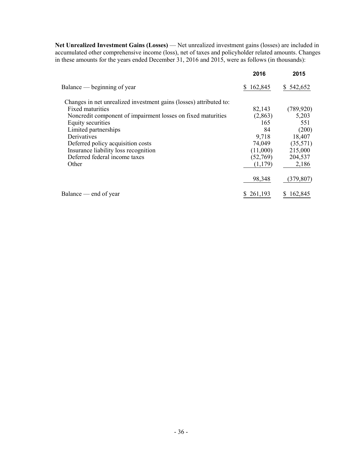**Net Unrealized Investment Gains (Losses)** — Net unrealized investment gains (losses) are included in accumulated other comprehensive income (loss), net of taxes and policyholder related amounts. Changes in these amounts for the years ended December 31, 2016 and 2015, were as follows (in thousands):

|                                                                    | 2016      | 2015       |
|--------------------------------------------------------------------|-----------|------------|
| Balance — beginning of year                                        | \$162,845 | \$542,652  |
| Changes in net unrealized investment gains (losses) attributed to: |           |            |
| Fixed maturities                                                   | 82,143    | (789, 920) |
| Noncredit component of impairment losses on fixed maturities       | (2,863)   | 5,203      |
| Equity securities                                                  | 165       | 551        |
| Limited partnerships                                               | 84        | (200)      |
| Derivatives                                                        | 9,718     | 18,407     |
| Deferred policy acquisition costs                                  | 74,049    | (35,571)   |
| Insurance liability loss recognition                               | (11,000)  | 215,000    |
| Deferred federal income taxes                                      | (52,769)  | 204,537    |
| Other                                                              | (1,179)   | 2,186      |
|                                                                    | 98,348    | (379,807)  |
| Balance — end of year                                              | 261,193   | 162,845    |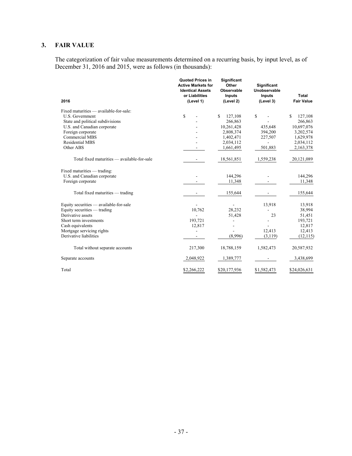#### **3. FAIR VALUE**

The categorization of fair value measurements determined on a recurring basis, by input level, as of December 31, 2016 and 2015, were as follows (in thousands):

| 2016                                        | <b>Quoted Prices in</b><br><b>Active Markets for</b><br><b>Identical Assets</b><br>or Liabilities<br>(Level 1) | Significant<br>Other<br>Observable<br>Inputs<br>(Level 2) | <b>Significant</b><br>Unobservable<br><b>Inputs</b><br>(Level 3) | Total<br><b>Fair Value</b> |
|---------------------------------------------|----------------------------------------------------------------------------------------------------------------|-----------------------------------------------------------|------------------------------------------------------------------|----------------------------|
| Fixed maturities — available-for-sale:      |                                                                                                                |                                                           |                                                                  |                            |
| U.S. Government                             | \$                                                                                                             | S.<br>127,108                                             | \$                                                               | \$<br>127,108              |
| State and political subdivisions            |                                                                                                                | 266,863                                                   |                                                                  | 266,863                    |
| U.S. and Canadian corporate                 |                                                                                                                | 10,261,428                                                | 435,648                                                          | 10,697,076                 |
| Foreign corporate                           |                                                                                                                | 2,808,374                                                 | 394,200                                                          | 3,202,574                  |
| Commercial MBS                              |                                                                                                                | 1,402,471                                                 | 227,507                                                          | 1,629,978                  |
| <b>Residential MBS</b>                      |                                                                                                                | 2,034,112                                                 | $\blacksquare$                                                   | 2,034,112                  |
| Other ABS                                   |                                                                                                                | 1,661,495                                                 | 501,883                                                          | 2,163,378                  |
| Total fixed maturities — available-for-sale |                                                                                                                | 18,561,851                                                | 1,559,238                                                        | 20,121,089                 |
| Fixed maturities — trading:                 |                                                                                                                |                                                           |                                                                  |                            |
| U.S. and Canadian corporate                 |                                                                                                                | 144.296                                                   |                                                                  | 144,296                    |
| Foreign corporate                           |                                                                                                                | 11,348                                                    |                                                                  | 11,348                     |
| Total fixed maturities — trading            |                                                                                                                | 155,644                                                   |                                                                  | 155,644                    |
| Equity securities — available-for-sale      |                                                                                                                |                                                           | 13,918                                                           | 13,918                     |
| Equity securities — trading                 | 10,762                                                                                                         | 28,232                                                    |                                                                  | 38,994                     |
| Derivative assets                           | ÷.                                                                                                             | 51,428                                                    | 23                                                               | 51,451                     |
| Short term investments                      | 193,721                                                                                                        |                                                           |                                                                  | 193,721                    |
| Cash equivalents                            | 12,817                                                                                                         |                                                           |                                                                  | 12,817                     |
| Mortgage servicing rights                   | ۰                                                                                                              |                                                           | 12,413                                                           | 12,413                     |
| Derivative liabilities                      |                                                                                                                | (8,996)                                                   | (3,119)                                                          | (12, 115)                  |
| Total without separate accounts             | 217,300                                                                                                        | 18,788,159                                                | 1,582,473                                                        | 20,587,932                 |
| Separate accounts                           | 2,048,922                                                                                                      | 1,389,777                                                 |                                                                  | 3,438,699                  |
| Total                                       | \$2,266,222                                                                                                    | \$20,177,936                                              | \$1,582,473                                                      | \$24,026,631               |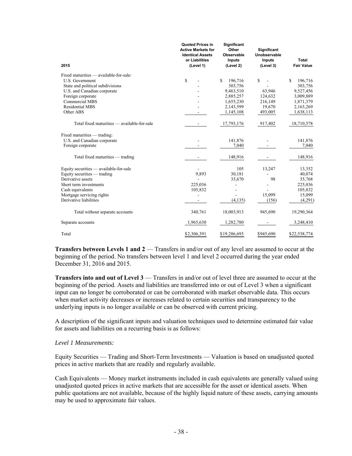| 2015                                        | <b>Quoted Prices in</b><br><b>Active Markets for</b><br><b>Identical Assets</b><br>or Liabilities<br>(Level 1) | Significant<br>Other<br><b>Observable</b><br>Inputs<br>(Level 2) | Significant<br>Unobservable<br><b>Inputs</b><br>(Level 3) | <b>Total</b><br><b>Fair Value</b> |
|---------------------------------------------|----------------------------------------------------------------------------------------------------------------|------------------------------------------------------------------|-----------------------------------------------------------|-----------------------------------|
| Fixed maturities — available-for-sale:      |                                                                                                                |                                                                  |                                                           |                                   |
| U.S. Government                             | \$                                                                                                             | S<br>196,716                                                     | \$                                                        | S.<br>196,716                     |
| State and political subdivisions            |                                                                                                                | 303,756                                                          | $\overline{\phantom{a}}$                                  | 303,756                           |
| U.S. and Canadian corporate                 |                                                                                                                | 9,463,510                                                        | 63,946                                                    | 9,527,456                         |
| Foreign corporate                           |                                                                                                                | 2,885,257                                                        | 124,632                                                   | 3,009,889                         |
| Commercial MBS                              |                                                                                                                | 1,655,230                                                        | 216,149                                                   | 1,871,379                         |
| <b>Residential MBS</b>                      |                                                                                                                | 2,143,599                                                        | 19,670                                                    | 2,163,269                         |
| Other ABS                                   |                                                                                                                | 1,145,108                                                        | 493,005                                                   | 1,638,113                         |
| Total fixed maturities — available-for-sale |                                                                                                                | 17,793,176                                                       | 917,402                                                   | 18,710,578                        |
| Fixed maturities — trading:                 |                                                                                                                |                                                                  |                                                           |                                   |
| U.S. and Canadian corporate                 |                                                                                                                | 141,876                                                          |                                                           | 141,876                           |
| Foreign corporate                           | ٠.                                                                                                             | 7,040                                                            | $\overline{\phantom{a}}$                                  | 7,040                             |
| Total fixed maturities — trading            |                                                                                                                | 148,916                                                          |                                                           | 148,916                           |
| Equity securities — available-for-sale      |                                                                                                                | 105                                                              | 13,247                                                    | 13,352                            |
| Equity securities — trading                 | 9,893                                                                                                          | 30,181                                                           |                                                           | 40,074                            |
| Derivative assets                           |                                                                                                                | 35,670                                                           | 98                                                        | 35,768                            |
| Short term investments                      | 225,036                                                                                                        |                                                                  |                                                           | 225,036                           |
| Cash equivalents                            | 105,832                                                                                                        |                                                                  |                                                           | 105,832                           |
| Mortgage servicing rights                   |                                                                                                                |                                                                  | 15,099                                                    | 15,099                            |
| Derivative liabilities                      |                                                                                                                | (4, 135)                                                         | (156)                                                     | (4,291)                           |
| Total without separate accounts             | 340,761                                                                                                        | 18,003,913                                                       | 945,690                                                   | 19,290,364                        |
| Separate accounts                           | 1,965,630                                                                                                      | 1,282,780                                                        |                                                           | 3,248,410                         |
| Total                                       | \$2,306,391                                                                                                    | \$19,286,693                                                     | \$945,690                                                 | \$22,538,774                      |

**Transfers between Levels 1 and 2** — Transfers in and/or out of any level are assumed to occur at the beginning of the period. No transfers between level 1 and level 2 occurred during the year ended December 31, 2016 and 2015.

**Transfers into and out of Level 3** — Transfers in and/or out of level three are assumed to occur at the beginning of the period. Assets and liabilities are transferred into or out of Level 3 when a significant input can no longer be corroborated or can be corroborated with market observable data. This occurs when market activity decreases or increases related to certain securities and transparency to the underlying inputs is no longer available or can be observed with current pricing.

A description of the significant inputs and valuation techniques used to determine estimated fair value for assets and liabilities on a recurring basis is as follows:

#### *Level 1 Measurements:*

Equity Securities — Trading and Short-Term Investments — Valuation is based on unadjusted quoted prices in active markets that are readily and regularly available.

Cash Equivalents — Money market instruments included in cash equivalents are generally valued using unadjusted quoted prices in active markets that are accessible for the asset or identical assets. When public quotations are not available, because of the highly liquid nature of these assets, carrying amounts may be used to approximate fair values.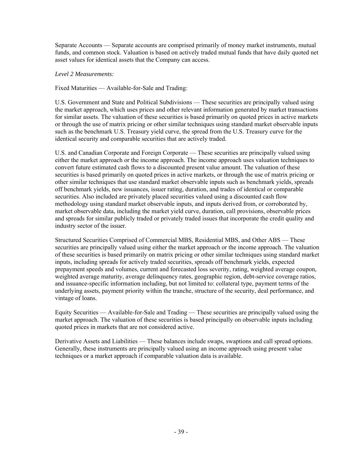Separate Accounts — Separate accounts are comprised primarily of money market instruments, mutual funds, and common stock. Valuation is based on actively traded mutual funds that have daily quoted net asset values for identical assets that the Company can access.

#### *Level 2 Measurements:*

Fixed Maturities — Available-for-Sale and Trading:

U.S. Government and State and Political Subdivisions — These securities are principally valued using the market approach, which uses prices and other relevant information generated by market transactions for similar assets. The valuation of these securities is based primarily on quoted prices in active markets or through the use of matrix pricing or other similar techniques using standard market observable inputs such as the benchmark U.S. Treasury yield curve, the spread from the U.S. Treasury curve for the identical security and comparable securities that are actively traded.

U.S. and Canadian Corporate and Foreign Corporate — These securities are principally valued using either the market approach or the income approach. The income approach uses valuation techniques to convert future estimated cash flows to a discounted present value amount. The valuation of these securities is based primarily on quoted prices in active markets, or through the use of matrix pricing or other similar techniques that use standard market observable inputs such as benchmark yields, spreads off benchmark yields, new issuances, issuer rating, duration, and trades of identical or comparable securities. Also included are privately placed securities valued using a discounted cash flow methodology using standard market observable inputs, and inputs derived from, or corroborated by, market observable data, including the market yield curve, duration, call provisions, observable prices and spreads for similar publicly traded or privately traded issues that incorporate the credit quality and industry sector of the issuer.

Structured Securities Comprised of Commercial MBS, Residential MBS, and Other ABS — These securities are principally valued using either the market approach or the income approach. The valuation of these securities is based primarily on matrix pricing or other similar techniques using standard market inputs, including spreads for actively traded securities, spreads off benchmark yields, expected prepayment speeds and volumes, current and forecasted loss severity, rating, weighted average coupon, weighted average maturity, average delinquency rates, geographic region, debt-service coverage ratios, and issuance-specific information including, but not limited to: collateral type, payment terms of the underlying assets, payment priority within the tranche, structure of the security, deal performance, and vintage of loans.

Equity Securities — Available-for-Sale and Trading — These securities are principally valued using the market approach. The valuation of these securities is based principally on observable inputs including quoted prices in markets that are not considered active.

Derivative Assets and Liabilities — These balances include swaps, swaptions and call spread options. Generally, these instruments are principally valued using an income approach using present value techniques or a market approach if comparable valuation data is available.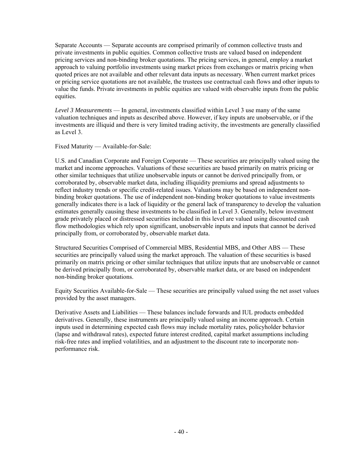Separate Accounts — Separate accounts are comprised primarily of common collective trusts and private investments in public equities. Common collective trusts are valued based on independent pricing services and non-binding broker quotations. The pricing services, in general, employ a market approach to valuing portfolio investments using market prices from exchanges or matrix pricing when quoted prices are not available and other relevant data inputs as necessary. When current market prices or pricing service quotations are not available, the trustees use contractual cash flows and other inputs to value the funds. Private investments in public equities are valued with observable inputs from the public equities.

*Level 3 Measurements* — In general, investments classified within Level 3 use many of the same valuation techniques and inputs as described above. However, if key inputs are unobservable, or if the investments are illiquid and there is very limited trading activity, the investments are generally classified as Level 3.

Fixed Maturity — Available-for-Sale:

U.S. and Canadian Corporate and Foreign Corporate — These securities are principally valued using the market and income approaches. Valuations of these securities are based primarily on matrix pricing or other similar techniques that utilize unobservable inputs or cannot be derived principally from, or corroborated by, observable market data, including illiquidity premiums and spread adjustments to reflect industry trends or specific credit-related issues. Valuations may be based on independent nonbinding broker quotations. The use of independent non-binding broker quotations to value investments generally indicates there is a lack of liquidity or the general lack of transparency to develop the valuation estimates generally causing these investments to be classified in Level 3. Generally, below investment grade privately placed or distressed securities included in this level are valued using discounted cash flow methodologies which rely upon significant, unobservable inputs and inputs that cannot be derived principally from, or corroborated by, observable market data.

Structured Securities Comprised of Commercial MBS, Residential MBS, and Other ABS — These securities are principally valued using the market approach. The valuation of these securities is based primarily on matrix pricing or other similar techniques that utilize inputs that are unobservable or cannot be derived principally from, or corroborated by, observable market data, or are based on independent non-binding broker quotations.

Equity Securities Available-for-Sale — These securities are principally valued using the net asset values provided by the asset managers.

Derivative Assets and Liabilities — These balances include forwards and IUL products embedded derivatives. Generally, these instruments are principally valued using an income approach. Certain inputs used in determining expected cash flows may include mortality rates, policyholder behavior (lapse and withdrawal rates), expected future interest credited, capital market assumptions including risk-free rates and implied volatilities, and an adjustment to the discount rate to incorporate nonperformance risk.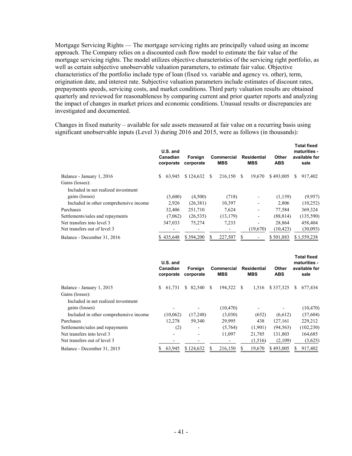Mortgage Servicing Rights — The mortgage servicing rights are principally valued using an income approach. The Company relies on a discounted cash flow model to estimate the fair value of the mortgage servicing rights. The model utilizes objective characteristics of the servicing right portfolio, as well as certain subjective unobservable valuation parameters, to estimate fair value. Objective characteristics of the portfolio include type of loan (fixed vs. variable and agency vs. other), term, origination date, and interest rate. Subjective valuation parameters include estimates of discount rates, prepayments speeds, servicing costs, and market conditions. Third party valuation results are obtained quarterly and reviewed for reasonableness by comparing current and prior quarter reports and analyzing the impact of changes in market prices and economic conditions. Unusual results or discrepancies are investigated and documented.

Changes in fixed maturity – available for sale assets measured at fair value on a recurring basis using significant unobservable inputs (Level 3) during 2016 and 2015, were as follows (in thousands):

|                                        |    | U.S. and<br>Canadian<br>corporate | Foreign<br>corporate |   | Commercial<br><b>MBS</b> |    | <b>Residential</b><br><b>MBS</b> | Other<br><b>ABS</b> |   | <b>Total fixed</b><br>maturities -<br>available for<br>sale |
|----------------------------------------|----|-----------------------------------|----------------------|---|--------------------------|----|----------------------------------|---------------------|---|-------------------------------------------------------------|
| Balance - January 1, 2016              | S. | 63,945                            | \$124,632            | S | 216,150                  | \$ | 19,670                           | \$493,005           | S | 917,402                                                     |
| Gains (losses):                        |    |                                   |                      |   |                          |    |                                  |                     |   |                                                             |
| Included in net realized investment    |    |                                   |                      |   |                          |    |                                  |                     |   |                                                             |
| gains (losses)                         |    | (3,600)                           | (4,500)              |   | (718)                    |    |                                  | (1,139)             |   | (9,957)                                                     |
| Included in other comprehensive income |    | 2.926                             | (26,381)             |   | 10,397                   |    |                                  | 2.806               |   | (10,252)                                                    |
| Purchases                              |    | 32,406                            | 251,710              |   | 7,624                    |    | -                                | 77,584              |   | 369,324                                                     |
| Settlements/sales and repayments       |    | (7,062)                           | (26, 535)            |   | (13, 179)                |    | -                                | (88, 814)           |   | (135,590)                                                   |
| Net transfers into level 3             |    | 347,033                           | 75.274               |   | 7,233                    |    | -                                | 28,864              |   | 458,404                                                     |
| Net transfers out of level 3           |    |                                   |                      |   |                          |    | (19,670)                         | (10, 423)           |   | (30,093)                                                    |
| Balance - December 31, 2016            |    | \$435,648                         | \$394,200            | S | 227,507                  | S  |                                  | \$501.883           |   | \$1,559,238                                                 |

|                                                       |    | U.S. and<br>Canadian<br>corporate | Foreign<br>corporate     |    | Commercial<br><b>MBS</b> |   | Residential<br><b>MBS</b> | Other<br><b>ABS</b> |   | <b>Total fixed</b><br>maturities -<br>available for<br>sale |
|-------------------------------------------------------|----|-----------------------------------|--------------------------|----|--------------------------|---|---------------------------|---------------------|---|-------------------------------------------------------------|
| Balance - January 1, 2015                             | S. | 61,731                            | \$<br>82,540             | \$ | 194,322                  | S | 1.516                     | \$337,325           | S | 677,434                                                     |
| Gains (losses):                                       |    |                                   |                          |    |                          |   |                           |                     |   |                                                             |
| Included in net realized investment<br>gains (losses) |    |                                   |                          |    | (10, 470)                |   |                           |                     |   | (10, 470)                                                   |
| Included in other comprehensive income                |    | (10,062)                          | (17,248)                 |    | (3,030)                  |   | (652)                     | (6,612)             |   | (37,604)                                                    |
| Purchases                                             |    | 12,278                            | 59,340                   |    | 29,995                   |   | 438                       | 127,161             |   | 229,212                                                     |
| Settlements/sales and repayments                      |    | (2)                               | $\overline{\phantom{a}}$ |    | (5,764)                  |   | (1.901)                   | (94, 563)           |   | (102, 230)                                                  |
| Net transfers into level 3                            |    | $\overline{\phantom{a}}$          | $\overline{\phantom{a}}$ |    | 11,097                   |   | 21,785                    | 131,803             |   | 164,685                                                     |
| Net transfers out of level 3                          |    |                                   |                          |    |                          |   | (1,516)                   | (2,109)             |   | (3,625)                                                     |
| Balance - December 31, 2015                           |    | 63.945                            | \$124,632                | S  | 216,150                  |   | 19,670                    | \$493,005           | S | 917.402                                                     |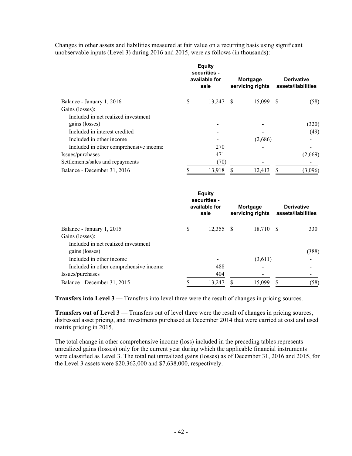Changes in other assets and liabilities measured at fair value on a recurring basis using significant unobservable inputs (Level 3) during 2016 and 2015, were as follows (in thousands):

|                                        | <b>Equity</b><br>securities -<br>available for<br>sale |    | Mortgage<br>servicing rights |    | <b>Derivative</b><br>assets/liabilities |
|----------------------------------------|--------------------------------------------------------|----|------------------------------|----|-----------------------------------------|
| Balance - January 1, 2016              | \$<br>13,247                                           | -S | 15,099                       | -S | (58)                                    |
| Gains (losses):                        |                                                        |    |                              |    |                                         |
| Included in net realized investment    |                                                        |    |                              |    |                                         |
| gains (losses)                         |                                                        |    |                              |    | (320)                                   |
| Included in interest credited          |                                                        |    |                              |    | (49)                                    |
| Included in other income               |                                                        |    | (2,686)                      |    |                                         |
| Included in other comprehensive income | 270                                                    |    |                              |    |                                         |
| Issues/purchases                       | 471                                                    |    |                              |    | (2,669)                                 |
| Settlements/sales and repayments       | (70)                                                   |    |                              |    |                                         |
| Balance - December 31, 2016            | 13.918                                                 |    | 12,413                       |    | (3,096)                                 |

|                                        | <b>Equity</b><br>securities -<br>available for<br>sale | Mortgage<br>servicing rights | <b>Derivative</b><br>assets/liabilities |
|----------------------------------------|--------------------------------------------------------|------------------------------|-----------------------------------------|
| Balance - January 1, 2015              | \$<br>$12,355$ \$                                      | 18,710 \$                    | 330                                     |
| Gains (losses):                        |                                                        |                              |                                         |
| Included in net realized investment    |                                                        |                              |                                         |
| gains (losses)                         |                                                        |                              | (388)                                   |
| Included in other income               |                                                        | (3,611)                      |                                         |
| Included in other comprehensive income | 488                                                    |                              |                                         |
| Issues/purchases                       | 404                                                    |                              |                                         |
| Balance - December 31, 2015            | 13,247                                                 | 15,099                       | (58)                                    |

**Transfers into Level 3** — Transfers into level three were the result of changes in pricing sources.

**Transfers out of Level 3** — Transfers out of level three were the result of changes in pricing sources, distressed asset pricing, and investments purchased at December 2014 that were carried at cost and used matrix pricing in 2015.

The total change in other comprehensive income (loss) included in the preceding tables represents unrealized gains (losses) only for the current year during which the applicable financial instruments were classified as Level 3. The total net unrealized gains (losses) as of December 31, 2016 and 2015, for the Level 3 assets were \$20,362,000 and \$7,638,000, respectively.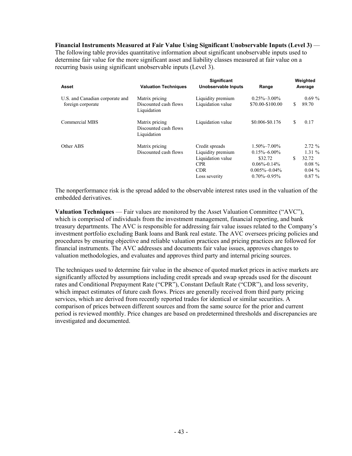**Financial Instruments Measured at Fair Value Using Significant Unobservable Inputs (Level 3)** — The following table provides quantitative information about significant unobservable inputs used to determine fair value for the more significant asset and liability classes measured at fair value on a recurring basis using significant unobservable inputs (Level 3).

| Asset                                                | <b>Valuation Techniques</b>                            | <b>Significant</b><br><b>Unobservable Inputs</b>                                                      | Range                                                                                                             | Weighted<br>Average                                                      |
|------------------------------------------------------|--------------------------------------------------------|-------------------------------------------------------------------------------------------------------|-------------------------------------------------------------------------------------------------------------------|--------------------------------------------------------------------------|
| U.S. and Canadian corporate and<br>foreign corporate | Matrix pricing<br>Discounted cash flows<br>Liquidation | Liquidity premium<br>Liquidation value                                                                | $0.25\% - 3.00\%$<br>\$70.00-\$100.00                                                                             | $0.69\%$<br>89.70<br>\$                                                  |
| Commercial MBS                                       | Matrix pricing<br>Discounted cash flows<br>Liquidation | Liquidation value                                                                                     | \$0.006-\$0.176                                                                                                   | \$<br>0.17                                                               |
| Other ABS                                            | Matrix pricing<br>Discounted cash flows                | Credit spreads<br>Liquidity premium<br>Liquidation value<br><b>CPR</b><br><b>CDR</b><br>Loss severity | $1.50\% - 7.00\%$<br>$0.15\% - 6.00\%$<br>\$32.72<br>$0.06\% - 0.14\%$<br>$0.005\% - 0.04\%$<br>$0.70\% - 0.95\%$ | $2.72\%$<br>$1.31\%$<br>\$<br>32.72<br>$0.08 \%$<br>$0.04\%$<br>$0.87\%$ |

The nonperformance risk is the spread added to the observable interest rates used in the valuation of the embedded derivatives.

**Valuation Techniques** — Fair values are monitored by the Asset Valuation Committee ("AVC"), which is comprised of individuals from the investment management, financial reporting, and bank treasury departments. The AVC is responsible for addressing fair value issues related to the Company's investment portfolio excluding Bank loans and Bank real estate. The AVC oversees pricing policies and procedures by ensuring objective and reliable valuation practices and pricing practices are followed for financial instruments. The AVC addresses and documents fair value issues, approves changes to valuation methodologies, and evaluates and approves third party and internal pricing sources.

The techniques used to determine fair value in the absence of quoted market prices in active markets are significantly affected by assumptions including credit spreads and swap spreads used for the discount rates and Conditional Prepayment Rate ("CPR"), Constant Default Rate ("CDR"), and loss severity, which impact estimates of future cash flows. Prices are generally received from third party pricing services, which are derived from recently reported trades for identical or similar securities. A comparison of prices between different sources and from the same source for the prior and current period is reviewed monthly. Price changes are based on predetermined thresholds and discrepancies are investigated and documented.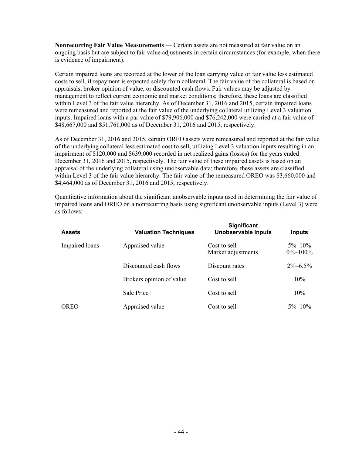**Nonrecurring Fair Value Measurements** — Certain assets are not measured at fair value on an ongoing basis but are subject to fair value adjustments in certain circumstances (for example, when there is evidence of impairment).

Certain impaired loans are recorded at the lower of the loan carrying value or fair value less estimated costs to sell, if repayment is expected solely from collateral. The fair value of the collateral is based on appraisals, broker opinion of value, or discounted cash flows. Fair values may be adjusted by management to reflect current economic and market conditions; therefore, these loans are classified within Level 3 of the fair value hierarchy. As of December 31, 2016 and 2015, certain impaired loans were remeasured and reported at the fair value of the underlying collateral utilizing Level 3 valuation inputs. Impaired loans with a par value of \$79,906,000 and \$76,242,000 were carried at a fair value of \$48,667,000 and \$51,761,000 as of December 31, 2016 and 2015, respectively.

As of December 31, 2016 and 2015, certain OREO assets were remeasured and reported at the fair value of the underlying collateral less estimated cost to sell, utilizing Level 3 valuation inputs resulting in an impairment of \$120,000 and \$639,000 recorded in net realized gains (losses) for the years ended December 31, 2016 and 2015, respectively. The fair value of these impaired assets is based on an appraisal of the underlying collateral using unobservable data; therefore, these assets are classified within Level 3 of the fair value hierarchy. The fair value of the remeasured OREO was \$3,660,000 and \$4,464,000 as of December 31, 2016 and 2015, respectively.

Quantitative information about the significant unobservable inputs used in determining the fair value of impaired loans and OREO on a nonrecurring basis using significant unobservable inputs (Level 3) were as follows:

| <b>Assets</b>  | <b>Valuation Techniques</b> | <b>Significant</b><br><b>Unobservable Inputs</b> | <b>Inputs</b>                 |
|----------------|-----------------------------|--------------------------------------------------|-------------------------------|
| Impaired loans | Appraised value             | Cost to sell<br>Market adjustments               | $5\% - 10\%$<br>$0\% - 100\%$ |
|                | Discounted cash flows       | Discount rates                                   | $2\% - 6.5\%$                 |
|                | Brokers opinion of value    | Cost to sell                                     | $10\%$                        |
|                | Sale Price                  | Cost to sell                                     | $10\%$                        |
| <b>OREO</b>    | Appraised value             | Cost to sell                                     | $5\% - 10\%$                  |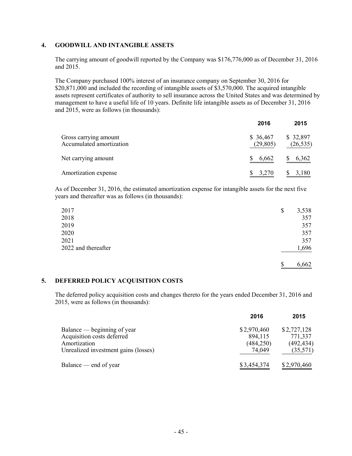#### **4. GOODWILL AND INTANGIBLE ASSETS**

The carrying amount of goodwill reported by the Company was \$176,776,000 as of December 31, 2016 and 2015.

The Company purchased 100% interest of an insurance company on September 30, 2016 for \$20,871,000 and included the recording of intangible assets of \$3,570,000. The acquired intangible assets represent certificates of authority to sell insurance across the United States and was determined by management to have a useful life of 10 years. Definite life intangible assets as of December 31, 2016 and 2015, were as follows (in thousands):

|                                                   | 2016                             | 2015        |
|---------------------------------------------------|----------------------------------|-------------|
| Gross carrying amount<br>Accumulated amortization | $$36,467$ $$32,897$<br>(29, 805) | (26, 535)   |
| Net carrying amount                               | 6,662<br>S                       | 6,362<br>S. |
| Amortization expense                              | $\frac{$}{5}$ 3,270              | 3,180       |

As of December 31, 2016, the estimated amortization expense for intangible assets for the next five years and thereafter was as follows (in thousands):

| 2017                | \$<br>3,538 |
|---------------------|-------------|
| 2018                | 357         |
| 2019                | 357         |
| 2020                | 357         |
| 2021                | 357         |
| 2022 and thereafter | 1,696       |
|                     | \$<br>6,662 |

#### **5. DEFERRED POLICY ACQUISITION COSTS**

The deferred policy acquisition costs and changes thereto for the years ended December 31, 2016 and 2015, were as follows (in thousands):

|                                      | 2016        | 2015        |
|--------------------------------------|-------------|-------------|
| $Balance - beginning of year$        | \$2,970,460 | \$2,727,128 |
| Acquisition costs deferred           | 894,115     | 771,337     |
| Amortization                         | (484,250)   | (492, 434)  |
| Unrealized investment gains (losses) | 74,049      | (35,571)    |
| Balance — end of year                | \$3,454,374 | \$2,970,460 |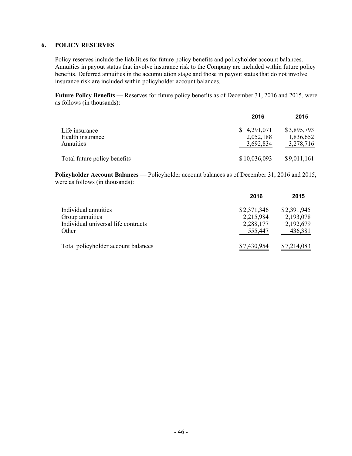#### **6. POLICY RESERVES**

Policy reserves include the liabilities for future policy benefits and policyholder account balances. Annuities in payout status that involve insurance risk to the Company are included within future policy benefits. Deferred annuities in the accumulation stage and those in payout status that do not involve insurance risk are included within policyholder account balances.

Future Policy Benefits — Reserves for future policy benefits as of December 31, 2016 and 2015, were as follows (in thousands):

|                                                 | 2016                                  | 2015                                  |
|-------------------------------------------------|---------------------------------------|---------------------------------------|
| Life insurance<br>Health insurance<br>Annuities | \$4,291,071<br>2,052,188<br>3,692,834 | \$3,895,793<br>1,836,652<br>3,278,716 |
| Total future policy benefits                    | \$10,036,093                          | \$9,011,161                           |

**Policyholder Account Balances** — Policyholder account balances as of December 31, 2016 and 2015, were as follows (in thousands):

|                                     | 2016        | 2015        |
|-------------------------------------|-------------|-------------|
| Individual annuities                | \$2,371,346 | \$2,391,945 |
| Group annuities                     | 2,215,984   | 2,193,078   |
| Individual universal life contracts | 2,288,177   | 2,192,679   |
| Other                               | 555,447     | 436,381     |
| Total policyholder account balances | \$7,430,954 | \$7,214,083 |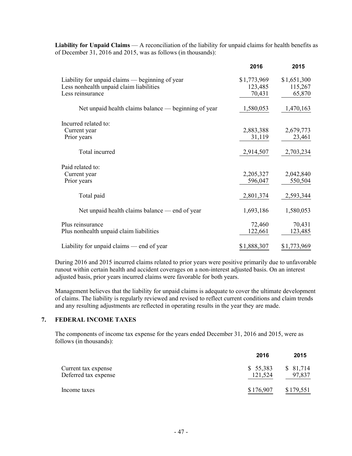|                                                                                                                | 2016                             | 2015                             |
|----------------------------------------------------------------------------------------------------------------|----------------------------------|----------------------------------|
| Liability for unpaid claims — beginning of year<br>Less nonhealth unpaid claim liabilities<br>Less reinsurance | \$1,773,969<br>123,485<br>70,431 | \$1,651,300<br>115,267<br>65,870 |
| Net unpaid health claims balance — beginning of year                                                           | 1,580,053                        | 1,470,163                        |
| Incurred related to:<br>Current year<br>Prior years                                                            | 2,883,388<br>31,119              | 2,679,773<br>23,461              |
| Total incurred                                                                                                 | 2,914,507                        | 2,703,234                        |
| Paid related to:<br>Current year<br>Prior years                                                                | 2,205,327<br>596,047             | 2,042,840<br>550,504             |
| Total paid                                                                                                     | 2,801,374                        | 2,593,344                        |
| Net unpaid health claims balance — end of year                                                                 | 1,693,186                        | 1,580,053                        |
| Plus reinsurance<br>Plus nonhealth unpaid claim liabilities                                                    | 72,460<br>122,661                | 70,431<br>123,485                |
| Liability for unpaid claims — end of year                                                                      | \$1,888,307                      | \$1,773,969                      |

Liability for Unpaid Claims — A reconciliation of the liability for unpaid claims for health benefits as of December 31, 2016 and 2015, was as follows (in thousands):

During 2016 and 2015 incurred claims related to prior years were positive primarily due to unfavorable runout within certain health and accident coverages on a non-interest adjusted basis. On an interest adjusted basis, prior years incurred claims were favorable for both years.

Management believes that the liability for unpaid claims is adequate to cover the ultimate development of claims. The liability is regularly reviewed and revised to reflect current conditions and claim trends and any resulting adjustments are reflected in operating results in the year they are made.

#### **7. FEDERAL INCOME TAXES**

The components of income tax expense for the years ended December 31, 2016 and 2015, were as follows (in thousands):

|                                             | 2016                | 2015               |
|---------------------------------------------|---------------------|--------------------|
| Current tax expense<br>Deferred tax expense | \$55,383<br>121,524 | \$81,714<br>97,837 |
| Income taxes                                | \$176,907           | \$179,551          |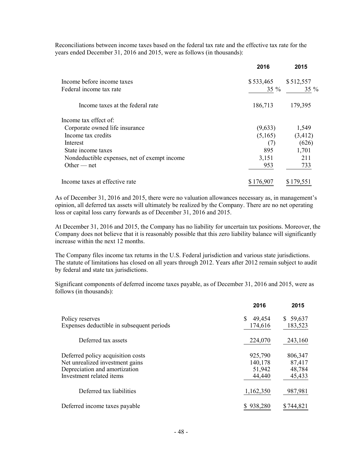Reconciliations between income taxes based on the federal tax rate and the effective tax rate for the years ended December 31, 2016 and 2015, were as follows (in thousands):

|                                              | 2016      | 2015      |
|----------------------------------------------|-----------|-----------|
| Income before income taxes                   | \$533,465 | \$512,557 |
| Federal income tax rate                      | $35 \%$   | 35 %      |
| Income taxes at the federal rate             | 186,713   | 179,395   |
| Income tax effect of:                        |           |           |
| Corporate owned life insurance               | (9,633)   | 1,549     |
| Income tax credits                           | (5,165)   | (3, 412)  |
| Interest                                     | (7)       | (626)     |
| State income taxes                           | 895       | 1,701     |
| Nondeductible expenses, net of exempt income | 3,151     | 211       |
| Other $-$ net                                | 953       | 733       |
| Income taxes at effective rate               | \$176,907 | \$179,551 |

As of December 31, 2016 and 2015, there were no valuation allowances necessary as, in management's opinion, all deferred tax assets will ultimately be realized by the Company. There are no net operating loss or capital loss carry forwards as of December 31, 2016 and 2015.

At December 31, 2016 and 2015, the Company has no liability for uncertain tax positions. Moreover, the Company does not believe that it is reasonably possible that this zero liability balance will significantly increase within the next 12 months.

The Company files income tax returns in the U.S. Federal jurisdiction and various state jurisdictions. The statute of limitations has closed on all years through 2012. Years after 2012 remain subject to audit by federal and state tax jurisdictions.

Significant components of deferred income taxes payable, as of December 31, 2016 and 2015, were as follows (in thousands):

|                                           | 2016        | 2015      |
|-------------------------------------------|-------------|-----------|
| Policy reserves                           | S<br>49,454 | \$59,637  |
| Expenses deductible in subsequent periods | 174,616     | 183,523   |
| Deferred tax assets                       | 224,070     | 243,160   |
| Deferred policy acquisition costs         | 925,790     | 806,347   |
| Net unrealized investment gains           | 140,178     | 87,417    |
| Depreciation and amortization             | 51,942      | 48,784    |
| Investment related items                  | 44,440      | 45,433    |
| Deferred tax liabilities                  | 1,162,350   | 987,981   |
| Deferred income taxes payable             | 938,280     | \$744,821 |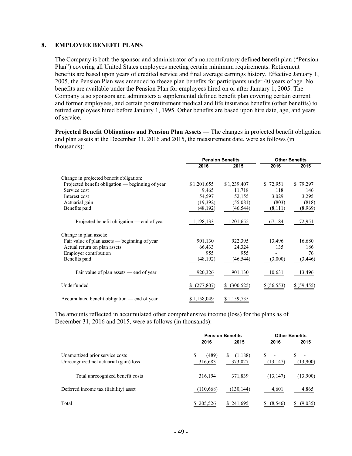#### **8. EMPLOYEE BENEFIT PLANS**

The Company is both the sponsor and administrator of a noncontributory defined benefit plan ("Pension Plan") covering all United States employees meeting certain minimum requirements. Retirement benefits are based upon years of credited service and final average earnings history. Effective January 1, 2005, the Pension Plan was amended to freeze plan benefits for participants under 40 years of age. No benefits are available under the Pension Plan for employees hired on or after January 1, 2005. The Company also sponsors and administers a supplemental defined benefit plan covering certain current and former employees, and certain postretirement medical and life insurance benefits (other benefits) to retired employees hired before January 1, 1995. Other benefits are based upon hire date, age, and years of service.

**Projected Benefit Obligations and Pension Plan Assets** — The changes in projected benefit obligation and plan assets at the December 31, 2016 and 2015, the measurement date, were as follows (in thousands):

|                                                  | <b>Pension Benefits</b> |                 |            | <b>Other Benefits</b> |
|--------------------------------------------------|-------------------------|-----------------|------------|-----------------------|
|                                                  | 2016                    | 2015            | 2016       | 2015                  |
| Change in projected benefit obligation:          |                         |                 |            |                       |
| Projected benefit obligation — beginning of year | \$1,201,655             | \$1,239,407     | \$72,951   | \$79,297              |
| Service cost                                     | 9,465                   | 11,718          | 118        | 146                   |
| Interest cost                                    | 54,597                  | 52,155          | 3,029      | 3,295                 |
| Actuarial gain                                   | (19,392)                | (55,081)        | (803)      | (818)                 |
| Benefits paid                                    | (48, 192)               | (46, 544)       | (8,111)    | (8,969)               |
| Projected benefit obligation — end of year       | 1,198,133               | 1,201,655       | 67,184     | 72,951                |
| Change in plan assets:                           |                         |                 |            |                       |
| Fair value of plan assets — beginning of year    | 901,130                 | 922,395         | 13,496     | 16,680                |
| Actual return on plan assets                     | 66,433                  | 24,324          | 135        | 186                   |
| Employer contribution                            | 955                     | 955             |            | 76                    |
| Benefits paid                                    | (48, 192)               | (46, 544)       | (3,000)    | (3, 446)              |
| Fair value of plan assets — end of year          | 920,326                 | 901,130         | 10,631     | 13,496                |
| Underfunded                                      | (277, 807)<br>S         | (300, 525)<br>S | \$(56,553) | \$ (59, 455)          |
| Accumulated benefit obligation — end of year     | \$1,158,049             | \$1,159,735     |            |                       |

The amounts reflected in accumulated other comprehensive income (loss) for the plans as of December 31, 2016 and 2015, were as follows (in thousands):

|                                                                           |                       | <b>Pension Benefits</b> |                 | <b>Other Benefits</b>                       |
|---------------------------------------------------------------------------|-----------------------|-------------------------|-----------------|---------------------------------------------|
|                                                                           | 2016                  | 2015                    | 2016            | 2015                                        |
| Unamortized prior service costs<br>Unrecognized net actuarial (gain) loss | (489)<br>S<br>316,683 | S<br>(1,188)<br>373,027 | \$<br>(13, 147) | \$.<br>$\overline{\phantom{a}}$<br>(13,900) |
| Total unrecognized benefit costs                                          | 316,194               | 371,839                 | (13, 147)       | (13,900)                                    |
| Deferred income tax (liability) asset                                     | (110,668)             | (130, 144)              | 4,601           | 4,865                                       |
| Total                                                                     | \$205,526             | \$241,695               | (8, 546)        | (9,035)                                     |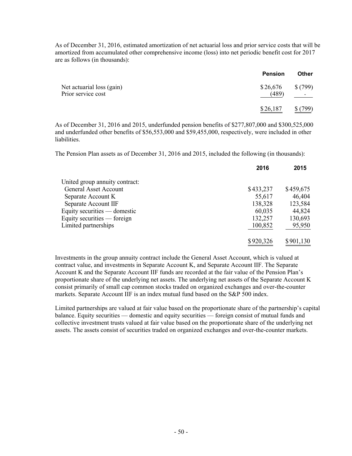As of December 31, 2016, estimated amortization of net actuarial loss and prior service costs that will be amortized from accumulated other comprehensive income (loss) into net periodic benefit cost for 2017 are as follows (in thousands):

|                                                 | <b>Pension</b>    | <b>Other</b>      |
|-------------------------------------------------|-------------------|-------------------|
| Net actuarial loss (gain)<br>Prior service cost | \$26,676<br>(489) | \$(799)<br>$\sim$ |
|                                                 | \$26,187          | \$(799)           |

As of December 31, 2016 and 2015, underfunded pension benefits of \$277,807,000 and \$300,525,000 and underfunded other benefits of \$56,553,000 and \$59,455,000, respectively, were included in other liabilities.

The Pension Plan assets as of December 31, 2016 and 2015, included the following (in thousands):

|                                | 2016      | 2015      |
|--------------------------------|-----------|-----------|
| United group annuity contract: |           |           |
| <b>General Asset Account</b>   | \$433,237 | \$459,675 |
| Separate Account K             | 55,617    | 46,404    |
| Separate Account IIF           | 138,328   | 123,584   |
| Equity securities — domestic   | 60,035    | 44,824    |
| Equity securities — foreign    | 132,257   | 130,693   |
| Limited partnerships           | 100,852   | 95,950    |
|                                | \$920,326 | \$901,130 |

Investments in the group annuity contract include the General Asset Account, which is valued at contract value, and investments in Separate Account K, and Separate Account IIF. The Separate Account K and the Separate Account IIF funds are recorded at the fair value of the Pension Plan's proportionate share of the underlying net assets. The underlying net assets of the Separate Account K consist primarily of small cap common stocks traded on organized exchanges and over-the-counter markets. Separate Account IIF is an index mutual fund based on the S&P 500 index.

Limited partnerships are valued at fair value based on the proportionate share of the partnership's capital balance. Equity securities — domestic and equity securities — foreign consist of mutual funds and collective investment trusts valued at fair value based on the proportionate share of the underlying net assets. The assets consist of securities traded on organized exchanges and over-the-counter markets.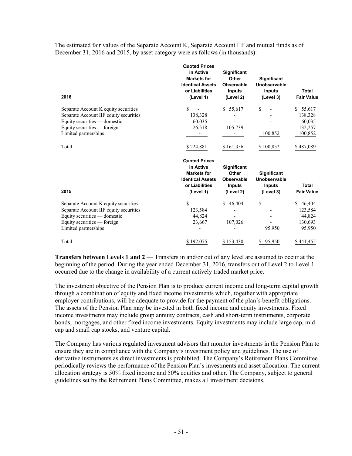The estimated fair values of the Separate Account K, Separate Account IIF and mutual funds as of December 31, 2016 and 2015, by asset category were as follows (in thousands):

| 2016                                                                                                                                                                    | <b>Quoted Prices</b><br>in Active<br><b>Markets for</b><br><b>Identical Assets</b><br>or Liabilities<br>(Level 1) | Significant<br>Other<br>Observable<br>Inputs<br>(Level 2) | Significant<br>Unobservable<br><b>Inputs</b><br>(Level 3)        | <b>Total</b><br><b>Fair Value</b>                  |
|-------------------------------------------------------------------------------------------------------------------------------------------------------------------------|-------------------------------------------------------------------------------------------------------------------|-----------------------------------------------------------|------------------------------------------------------------------|----------------------------------------------------|
| Separate Account K equity securities<br>Separate Account IIF equity securities                                                                                          | \$<br>138,328                                                                                                     | 55,617<br>$\mathbb{S}$                                    | \$                                                               | \$55,617<br>138,328                                |
| Equity securities — domestic<br>Equity securities — foreign<br>Limited partnerships                                                                                     | 60,035<br>26,518                                                                                                  | 105,739                                                   | 100,852                                                          | 60,035<br>132,257<br>100,852                       |
| Total                                                                                                                                                                   | \$224,881                                                                                                         | \$161,356                                                 | \$100,852                                                        | \$487,089                                          |
| 2015                                                                                                                                                                    | <b>Quoted Prices</b><br>in Active<br><b>Markets for</b><br><b>Identical Assets</b><br>or Liabilities<br>(Level 1) | Significant<br>Other<br>Observable<br>Inputs<br>(Level 2) | <b>Significant</b><br>Unobservable<br><b>Inputs</b><br>(Level 3) | <b>Total</b><br><b>Fair Value</b>                  |
| Separate Account K equity securities<br>Separate Account IIF equity securities<br>Equity securities — domestic<br>Equity securities $-$ foreign<br>Limited partnerships | \$<br>123,584<br>44,824<br>23,667                                                                                 | 46,404<br>\$.<br>107,026                                  | \$<br>95,950                                                     | \$46,404<br>123,584<br>44,824<br>130,693<br>95,950 |
| Total                                                                                                                                                                   | \$192,075                                                                                                         | \$153,430                                                 | 95,950                                                           | \$441,455                                          |

**Transfers between Levels 1 and 2** — Transfers in and/or out of any level are assumed to occur at the beginning of the period. During the year ended December 31, 2016, transfers out of Level 2 to Level 1 occurred due to the change in availability of a current actively traded market price.

The investment objective of the Pension Plan is to produce current income and long-term capital growth through a combination of equity and fixed income investments which, together with appropriate employer contributions, will be adequate to provide for the payment of the plan's benefit obligations. The assets of the Pension Plan may be invested in both fixed income and equity investments. Fixed income investments may include group annuity contracts, cash and short-term instruments, corporate bonds, mortgages, and other fixed income investments. Equity investments may include large cap, mid cap and small cap stocks, and venture capital.

The Company has various regulated investment advisors that monitor investments in the Pension Plan to ensure they are in compliance with the Company's investment policy and guidelines. The use of derivative instruments as direct investments is prohibited. The Company's Retirement Plans Committee periodically reviews the performance of the Pension Plan's investments and asset allocation. The current allocation strategy is 50% fixed income and 50% equities and other. The Company, subject to general guidelines set by the Retirement Plans Committee, makes all investment decisions.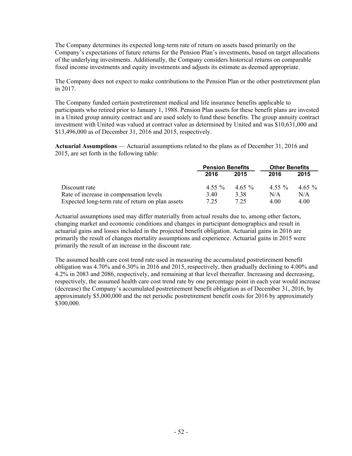The Company determines its expected long-term rate of return on assets based primarily on the Company's expectations of future returns for the Pension Plan's investments, based on target allocations of the underlying investments. Additionally, the Company considers historical returns on comparable fixed income investments and equity investments and adjusts its estimate as deemed appropriate.

The Company does not expect to make contributions to the Pension Plan or the other postretirement plan in 2017.

The Company funded certain postretirement medical and life insurance benefits applicable to participants who retired prior to January 1, 1988. Pension Plan assets for these benefit plans are invested in a United group annuity contract and are used solely to fund these benefits. The group annuity contract investment with United was valued at contract value as determined by United and was \$10,631,000 and \$13,496,000 as of December 31, 2016 and 2015, respectively.

**Actuarial Assumptions** — Actuarial assumptions related to the plans as of December 31, 2016 and 2015, are set forth in the following table:

|                                                  | <b>Pension Benefits</b> |          | <b>Other Benefits</b> |          |
|--------------------------------------------------|-------------------------|----------|-----------------------|----------|
|                                                  | 2016                    | 2015     | 2016                  | 2015     |
| Discount rate                                    | $4.55\%$                | $4.65\%$ | 4.55 $\%$             | $4.65\%$ |
| Rate of increase in compensation levels          | 3.40                    | 3.38     | N/A                   | N/A      |
| Expected long-term rate of return on plan assets | 7.25                    | 7.25     | 4.00                  | 4.00     |

Actuarial assumptions used may differ materially from actual results due to, among other factors, changing market and economic conditions and changes in participant demographics and result in actuarial gains and losses included in the projected benefit obligation. Actuarial gains in 2016 are primarily the result of changes mortality assumptions and experience. Actuarial gains in 2015 were primarily the result of an increase in the discount rate.

The assumed health care cost trend rate used in measuring the accumulated postretirement benefit obligation was 4.70% and 6.30% in 2016 and 2015, respectively, then gradually declining to 4.00% and 4.2% in 2083 and 2086, respectively, and remaining at that level thereafter. Increasing and decreasing, respectively, the assumed health care cost trend rate by one percentage point in each year would increase (decrease) the Company's accumulated postretirement benefit obligation as of December 31, 2016, by approximately \$5,000,000 and the net periodic postretirement benefit costs for 2016 by approximately \$300,000.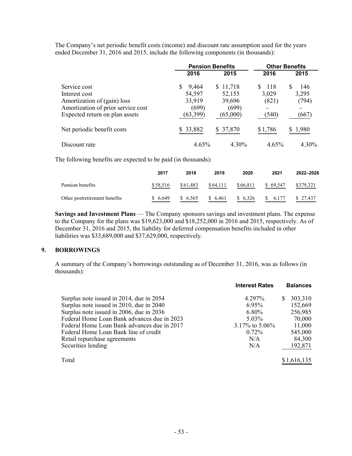The Company's net periodic benefit costs (income) and discount rate assumption used for the years ended December 31, 2016 and 2015, include the following components (in thousands):

|                                    | <b>Pension Benefits</b> |              | <b>Other Benefits</b> |          |
|------------------------------------|-------------------------|--------------|-----------------------|----------|
|                                    | 2016                    | 2015         | 2016                  | 2015     |
| Service cost                       | \$<br>9,464             | \$11,718     | 118<br>S              | S<br>146 |
| Interest cost                      | 54,597                  | 52,155       | 3,029                 | 3,295    |
| Amortization of (gain) loss        | 33,919                  | 39,696       | (821)                 | (794)    |
| Amortization of prior service cost | (699)                   | (699)        | -                     | -        |
| Expected return on plan assets     | (63, 399)               | (65,000)     | (540)                 | (667)    |
| Net periodic benefit costs         | \$ 33,882               | 37,870<br>S. | \$1,786               | 1,980    |
| Discount rate                      | 4.65%                   | 4.30%        | 4.65%                 | 4.30%    |

The following benefits are expected to be paid (in thousands):

|                               | 2017     | 2018     | 2019     | 2020     | 2021     | 2022-2026 |
|-------------------------------|----------|----------|----------|----------|----------|-----------|
| Pension benefits              | \$58,516 | \$61,483 | \$64,111 | \$66,811 | \$69,547 | \$379,321 |
| Other postretirement benefits | \$6,649  | 6,565    | 6,461    | \$6,326  | 6,177    | \$27,437  |

**Savings and Investment Plans** — The Company sponsors savings and investment plans. The expense to the Company for the plans was \$19,623,000 and \$18,252,000 in 2016 and 2015, respectively. As of December 31, 2016 and 2015, the liability for deferred compensation benefits included in other liabilities was \$33,689,000 and \$37,629,000, respectively.

#### **9. BORROWINGS**

A summary of the Company's borrowings outstanding as of December 31, 2016, was as follows (in thousands):

|                                             | <b>Interest Rates</b> | <b>Balances</b> |
|---------------------------------------------|-----------------------|-----------------|
| Surplus note issued in 2014, due in 2054    | 4.297%                | 303,310<br>S    |
| Surplus note issued in 2010, due in 2040    | $6.95\%$              | 152,669         |
| Surplus note issued in 2006, due in 2036    | $6.80\%$              | 256,985         |
| Federal Home Loan Bank advances due in 2023 | $5.03\%$              | 70,000          |
| Federal Home Loan Bank advances due in 2017 | 3.17% to 5.06%        | 11,000          |
| Federal Home Loan Bank line of credit       | $0.72\%$              | 545,000         |
| Retail repurchase agreements                | N/A                   | 84,300          |
| Securities lending                          | N/A                   | 192,871         |
| Total                                       |                       | \$1,616,135     |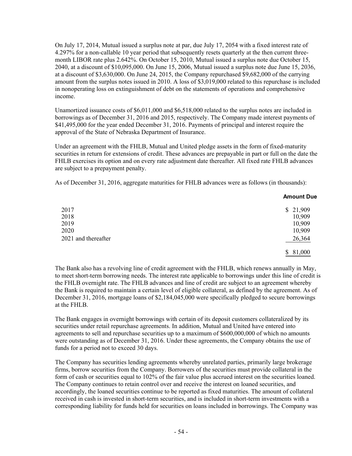On July 17, 2014, Mutual issued a surplus note at par, due July 17, 2054 with a fixed interest rate of 4.297% for a non-callable 10 year period that subsequently resets quarterly at the then current threemonth LIBOR rate plus 2.642%. On October 15, 2010, Mutual issued a surplus note due October 15, 2040, at a discount of \$10,095,000. On June 15, 2006, Mutual issued a surplus note due June 15, 2036, at a discount of \$3,630,000. On June 24, 2015, the Company repurchased \$9,682,000 of the carrying amount from the surplus notes issued in 2010. A loss of \$3,019,000 related to this repurchase is included in nonoperating loss on extinguishment of debt on the statements of operations and comprehensive income.

Unamortized issuance costs of \$6,011,000 and \$6,518,000 related to the surplus notes are included in borrowings as of December 31, 2016 and 2015, respectively. The Company made interest payments of \$41,495,000 for the year ended December 31, 2016. Payments of principal and interest require the approval of the State of Nebraska Department of Insurance.

Under an agreement with the FHLB, Mutual and United pledge assets in the form of fixed-maturity securities in return for extensions of credit. These advances are prepayable in part or full on the date the FHLB exercises its option and on every rate adjustment date thereafter. All fixed rate FHLB advances are subject to a prepayment penalty.

As of December 31, 2016, aggregate maturities for FHLB advances were as follows (in thousands):

|                     | <b>Amount Due</b> |
|---------------------|-------------------|
| 2017                | \$21,909          |
| 2018                | 10,909            |
| 2019                | 10,909            |
| 2020                | 10,909            |
| 2021 and thereafter | 26,364            |
|                     | \$ 81,000         |

The Bank also has a revolving line of credit agreement with the FHLB, which renews annually in May, to meet short-term borrowing needs. The interest rate applicable to borrowings under this line of credit is the FHLB overnight rate. The FHLB advances and line of credit are subject to an agreement whereby the Bank is required to maintain a certain level of eligible collateral, as defined by the agreement. As of December 31, 2016, mortgage loans of \$2,184,045,000 were specifically pledged to secure borrowings at the FHLB.

The Bank engages in overnight borrowings with certain of its deposit customers collateralized by its securities under retail repurchase agreements. In addition, Mutual and United have entered into agreements to sell and repurchase securities up to a maximum of \$600,000,000 of which no amounts were outstanding as of December 31, 2016. Under these agreements, the Company obtains the use of funds for a period not to exceed 30 days.

The Company has securities lending agreements whereby unrelated parties, primarily large brokerage firms, borrow securities from the Company. Borrowers of the securities must provide collateral in the form of cash or securities equal to 102% of the fair value plus accrued interest on the securities loaned. The Company continues to retain control over and receive the interest on loaned securities, and accordingly, the loaned securities continue to be reported as fixed maturities. The amount of collateral received in cash is invested in short-term securities, and is included in short-term investments with a corresponding liability for funds held for securities on loans included in borrowings. The Company was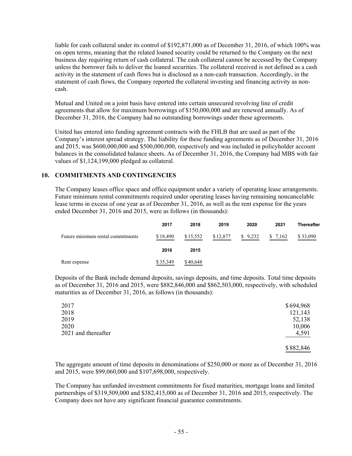liable for cash collateral under its control of \$192,871,000 as of December 31, 2016, of which 100% was on open terms, meaning that the related loaned security could be returned to the Company on the next business day requiring return of cash collateral. The cash collateral cannot be accessed by the Company unless the borrower fails to deliver the loaned securities. The collateral received is not defined as a cash activity in the statement of cash flows but is disclosed as a non-cash transaction. Accordingly, in the statement of cash flows, the Company reported the collateral investing and financing activity as noncash.

Mutual and United on a joint basis have entered into certain unsecured revolving line of credit agreements that allow for maximum borrowings of \$150,000,000 and are renewed annually. As of December 31, 2016, the Company had no outstanding borrowings under these agreements.

United has entered into funding agreement contracts with the FHLB that are used as part of the Company's interest spread strategy. The liability for these funding agreements as of December 31, 2016 and 2015, was \$600,000,000 and \$500,000,000, respectively and was included in policyholder account balances in the consolidated balance sheets. As of December 31, 2016, the Company had MBS with fair values of \$1,124,199,000 pledged as collateral.

#### **10. COMMITMENTS AND CONTINGENCIES**

The Company leases office space and office equipment under a variety of operating lease arrangements. Future minimum rental commitments required under operating leases having remaining noncancelable lease terms in excess of one year as of December 31, 2016, as well as the rent expense for the years ended December 31, 2016 and 2015, were as follows (in thousands):

|                                   | 2017     | 2018     | 2019     | 2020    | 2021    | <b>Thereafter</b> |
|-----------------------------------|----------|----------|----------|---------|---------|-------------------|
| Future minimum rental commitments | \$18,490 | \$15,552 | \$12,877 | \$9,232 | \$7,162 | \$33,090          |
|                                   | 2016     | 2015     |          |         |         |                   |
| Rent expense                      | \$35,349 | \$40,648 |          |         |         |                   |

Deposits of the Bank include demand deposits, savings deposits, and time deposits. Total time deposits as of December 31, 2016 and 2015, were \$882,846,000 and \$862,503,000, respectively, with scheduled maturities as of December 31, 2016, as follows (in thousands):

| 2017                | \$694,968 |
|---------------------|-----------|
| 2018                | 121,143   |
| 2019                | 52,138    |
| 2020                | 10,006    |
| 2021 and thereafter | 4,591     |
|                     | \$882,846 |

The aggregate amount of time deposits in denominations of \$250,000 or more as of December 31, 2016 and 2015, were \$99,060,000 and \$107,698,000, respectively.

The Company has unfunded investment commitments for fixed maturities, mortgage loans and limited partnerships of \$319,509,000 and \$382,415,000 as of December 31, 2016 and 2015, respectively. The Company does not have any significant financial guarantee commitments.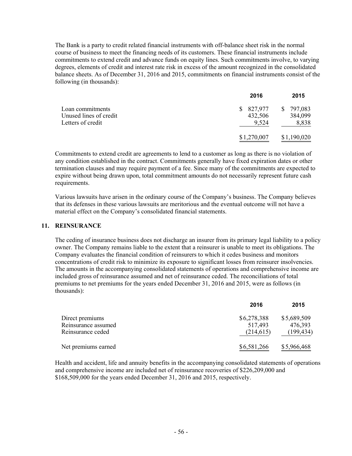The Bank is a party to credit related financial instruments with off-balance sheet risk in the normal course of business to meet the financing needs of its customers. These financial instruments include commitments to extend credit and advance funds on equity lines. Such commitments involve, to varying degrees, elements of credit and interest rate risk in excess of the amount recognized in the consolidated balance sheets. As of December 31, 2016 and 2015, commitments on financial instruments consist of the following (in thousands):

|                                                                 | 2016                          | 2015                           |
|-----------------------------------------------------------------|-------------------------------|--------------------------------|
| Loan commitments<br>Unused lines of credit<br>Letters of credit | \$827,977<br>432,506<br>9.524 | \$ 797,083<br>384,099<br>8,838 |
|                                                                 | \$1,270,007                   | \$1,190,020                    |

Commitments to extend credit are agreements to lend to a customer as long as there is no violation of any condition established in the contract. Commitments generally have fixed expiration dates or other termination clauses and may require payment of a fee. Since many of the commitments are expected to expire without being drawn upon, total commitment amounts do not necessarily represent future cash requirements.

Various lawsuits have arisen in the ordinary course of the Company's business. The Company believes that its defenses in these various lawsuits are meritorious and the eventual outcome will not have a material effect on the Company's consolidated financial statements.

#### **11. REINSURANCE**

The ceding of insurance business does not discharge an insurer from its primary legal liability to a policy owner. The Company remains liable to the extent that a reinsurer is unable to meet its obligations. The Company evaluates the financial condition of reinsurers to which it cedes business and monitors concentrations of credit risk to minimize its exposure to significant losses from reinsurer insolvencies. The amounts in the accompanying consolidated statements of operations and comprehensive income are included gross of reinsurance assumed and net of reinsurance ceded. The reconciliations of total premiums to net premiums for the years ended December 31, 2016 and 2015, were as follows (in thousands):

|                                                             | 2016                                 | 2015                                 |  |
|-------------------------------------------------------------|--------------------------------------|--------------------------------------|--|
| Direct premiums<br>Reinsurance assumed<br>Reinsurance ceded | \$6,278,388<br>517,493<br>(214, 615) | \$5,689,509<br>476,393<br>(199, 434) |  |
| Net premiums earned                                         | \$6,581,266                          | \$5,966,468                          |  |

Health and accident, life and annuity benefits in the accompanying consolidated statements of operations and comprehensive income are included net of reinsurance recoveries of \$226,209,000 and \$168,509,000 for the years ended December 31, 2016 and 2015, respectively.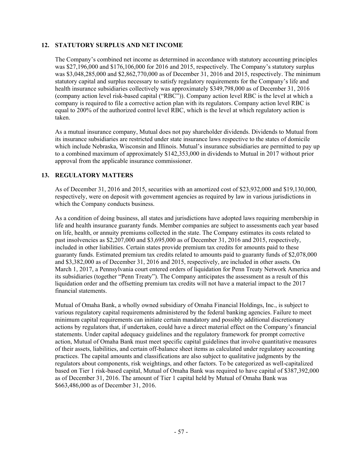#### **12. STATUTORY SURPLUS AND NET INCOME**

The Company's combined net income as determined in accordance with statutory accounting principles was \$27,196,000 and \$176,106,000 for 2016 and 2015, respectively. The Company's statutory surplus was \$3,048,285,000 and \$2,862,770,000 as of December 31, 2016 and 2015, respectively. The minimum statutory capital and surplus necessary to satisfy regulatory requirements for the Company's life and health insurance subsidiaries collectively was approximately \$349,798,000 as of December 31, 2016 (company action level risk-based capital ("RBC")). Company action level RBC is the level at which a company is required to file a corrective action plan with its regulators. Company action level RBC is equal to 200% of the authorized control level RBC, which is the level at which regulatory action is taken.

As a mutual insurance company, Mutual does not pay shareholder dividends. Dividends to Mutual from its insurance subsidiaries are restricted under state insurance laws respective to the states of domicile which include Nebraska, Wisconsin and Illinois. Mutual's insurance subsidiaries are permitted to pay up to a combined maximum of approximately \$142,353,000 in dividends to Mutual in 2017 without prior approval from the applicable insurance commissioner.

#### **13. REGULATORY MATTERS**

As of December 31, 2016 and 2015, securities with an amortized cost of \$23,932,000 and \$19,130,000, respectively, were on deposit with government agencies as required by law in various jurisdictions in which the Company conducts business.

As a condition of doing business, all states and jurisdictions have adopted laws requiring membership in life and health insurance guaranty funds. Member companies are subject to assessments each year based on life, health, or annuity premiums collected in the state. The Company estimates its costs related to past insolvencies as \$2,207,000 and \$3,695,000 as of December 31, 2016 and 2015, respectively, included in other liabilities. Certain states provide premium tax credits for amounts paid to these guaranty funds. Estimated premium tax credits related to amounts paid to guaranty funds of \$2,078,000 and \$3,382,000 as of December 31, 2016 and 2015, respectively, are included in other assets. On March 1, 2017, a Pennsylvania court entered orders of liquidation for Penn Treaty Network America and its subsidiaries (together "Penn Treaty"). The Company anticipates the assessment as a result of this liquidation order and the offsetting premium tax credits will not have a material impact to the 2017 financial statements.

Mutual of Omaha Bank, a wholly owned subsidiary of Omaha Financial Holdings, Inc., is subject to various regulatory capital requirements administered by the federal banking agencies. Failure to meet minimum capital requirements can initiate certain mandatory and possibly additional discretionary actions by regulators that, if undertaken, could have a direct material effect on the Company's financial statements. Under capital adequacy guidelines and the regulatory framework for prompt corrective action, Mutual of Omaha Bank must meet specific capital guidelines that involve quantitative measures of their assets, liabilities, and certain off-balance sheet items as calculated under regulatory accounting practices. The capital amounts and classifications are also subject to qualitative judgments by the regulators about components, risk weightings, and other factors. To be categorized as well-capitalized based on Tier 1 risk-based capital, Mutual of Omaha Bank was required to have capital of \$387,392,000 as of December 31, 2016. The amount of Tier 1 capital held by Mutual of Omaha Bank was \$663,486,000 as of December 31, 2016.